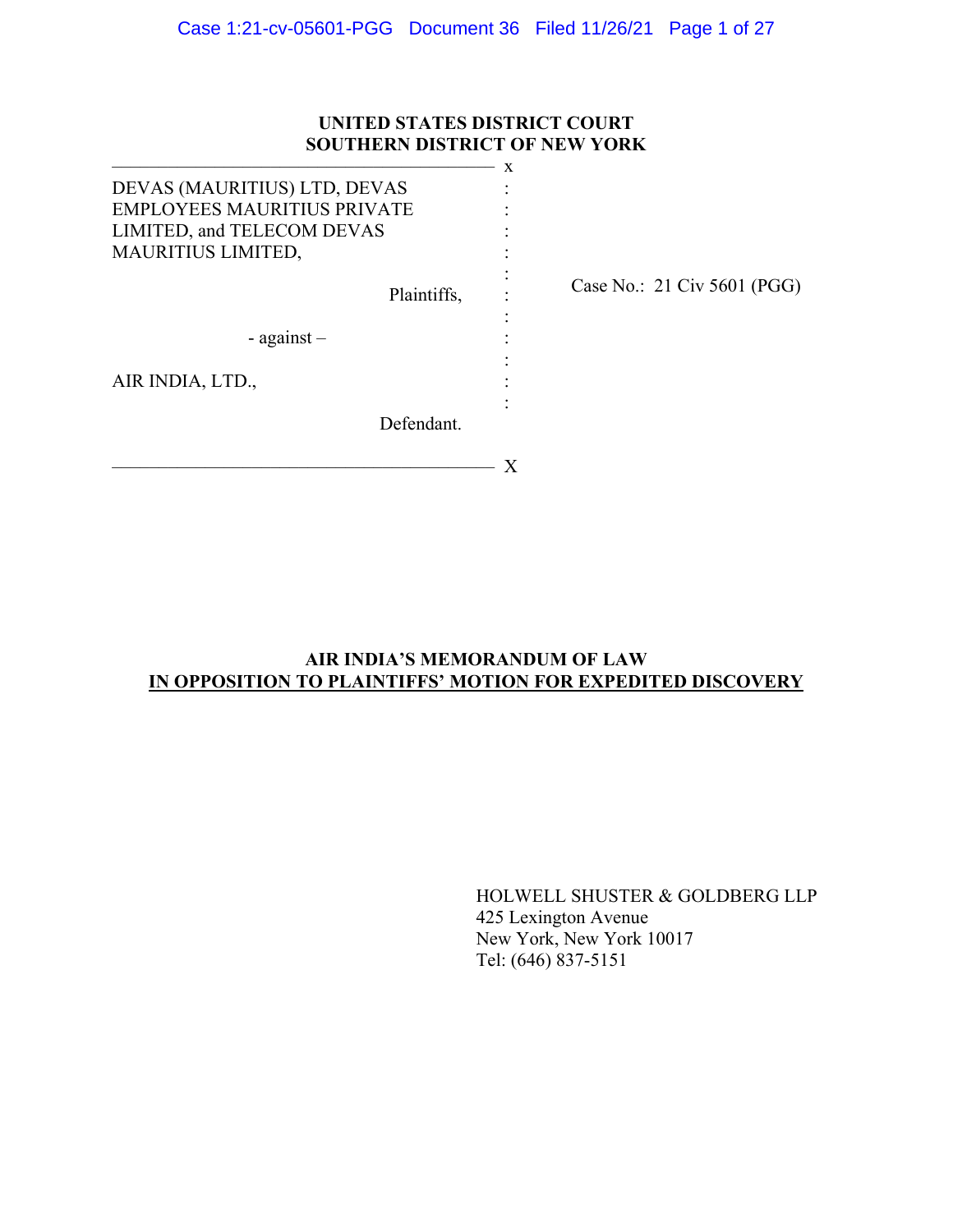## **UNITED STATES DISTRICT COURT SOUTHERN DISTRICT OF NEW YORK**

|                                    | X |                             |
|------------------------------------|---|-----------------------------|
| DEVAS (MAURITIUS) LTD, DEVAS       |   |                             |
| <b>EMPLOYEES MAURITIUS PRIVATE</b> |   |                             |
| LIMITED, and TELECOM DEVAS         |   |                             |
| <b>MAURITIUS LIMITED,</b>          |   |                             |
| Plaintiffs,                        |   | Case No.: 21 Civ 5601 (PGG) |
|                                    |   |                             |
| $-$ against $-$                    |   |                             |
|                                    |   |                             |
| AIR INDIA, LTD.,                   |   |                             |
|                                    |   |                             |
| Defendant.                         |   |                             |
|                                    |   |                             |

## **AIR INDIA'S MEMORANDUM OF LAW IN OPPOSITION TO PLAINTIFFS' MOTION FOR EXPEDITED DISCOVERY**

HOLWELL SHUSTER & GOLDBERG LLP 425 Lexington Avenue New York, New York 10017 Tel: (646) 837-5151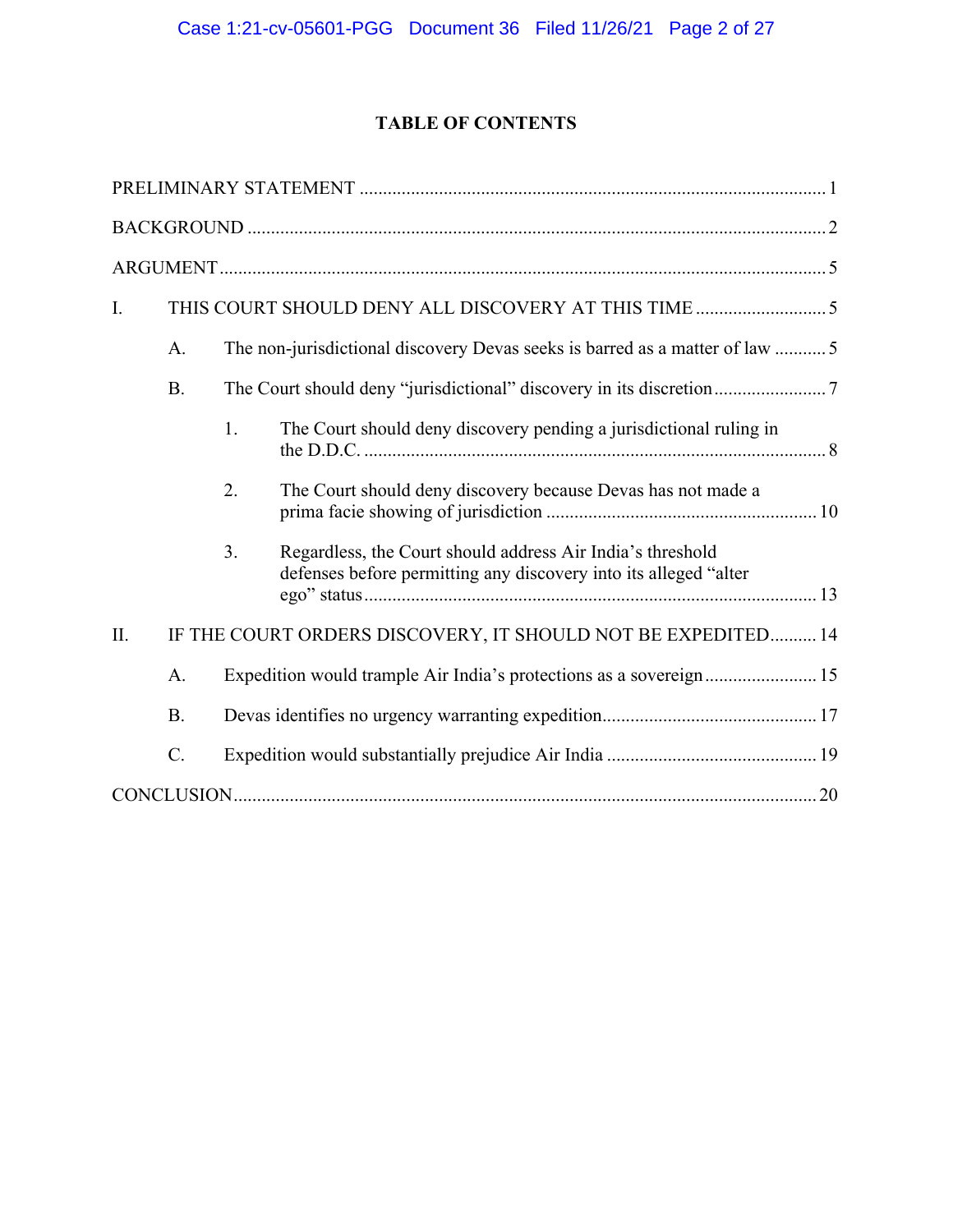# **TABLE OF CONTENTS**

| I.        |    |                                                                                                                                |
|-----------|----|--------------------------------------------------------------------------------------------------------------------------------|
| A.        |    | The non-jurisdictional discovery Devas seeks is barred as a matter of law 5                                                    |
| <b>B.</b> |    |                                                                                                                                |
|           | 1. | The Court should deny discovery pending a jurisdictional ruling in                                                             |
|           | 2. | The Court should deny discovery because Devas has not made a                                                                   |
|           | 3. | Regardless, the Court should address Air India's threshold<br>defenses before permitting any discovery into its alleged "alter |
| Π.        |    | IF THE COURT ORDERS DISCOVERY, IT SHOULD NOT BE EXPEDITED 14                                                                   |
| A.        |    |                                                                                                                                |
| <b>B.</b> |    |                                                                                                                                |
| C.        |    |                                                                                                                                |
|           |    |                                                                                                                                |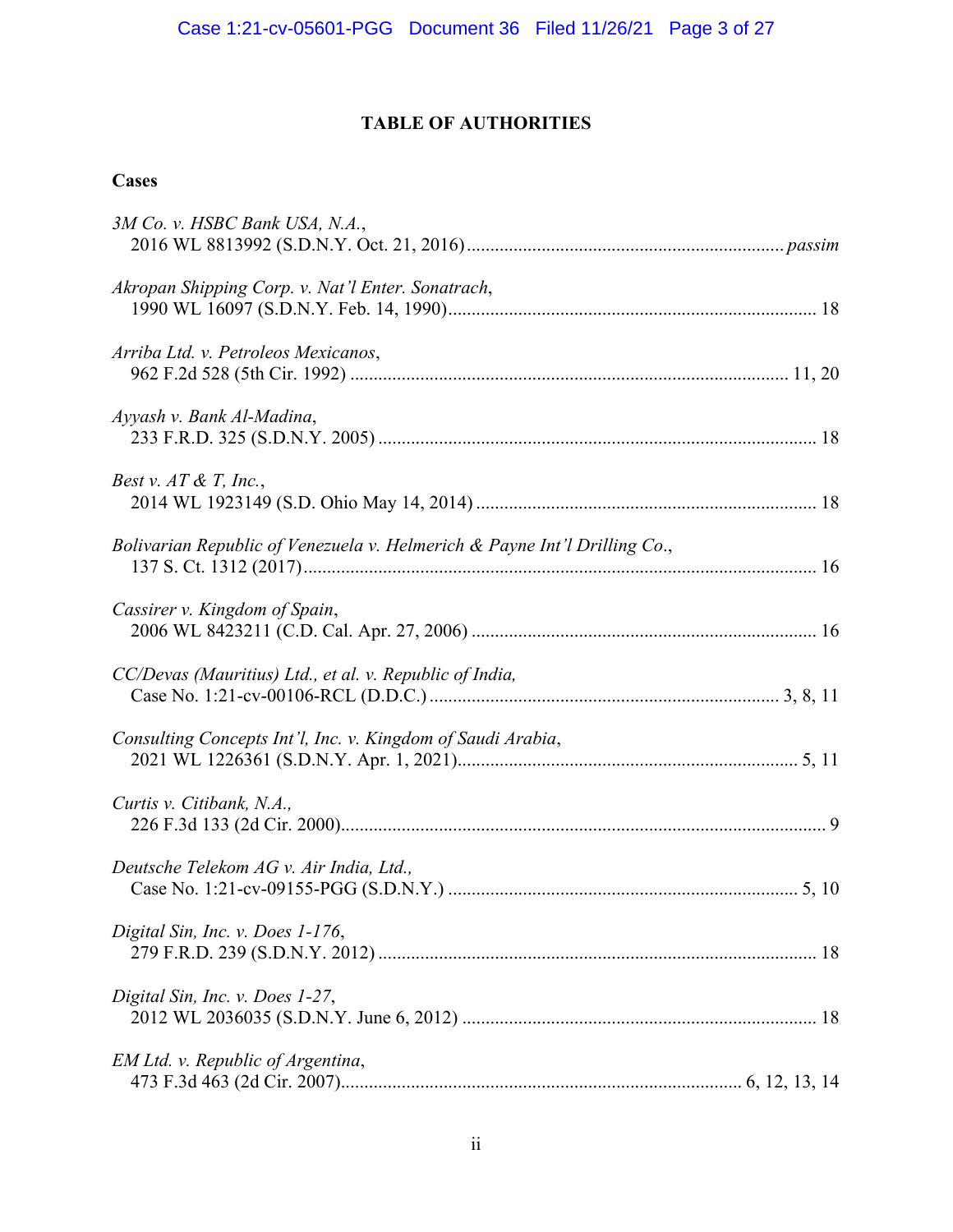# **TABLE OF AUTHORITIES**

## **Cases**

| 3M Co. v. HSBC Bank USA, N.A.,                                            |
|---------------------------------------------------------------------------|
| Akropan Shipping Corp. v. Nat'l Enter. Sonatrach,                         |
| Arriba Ltd. v. Petroleos Mexicanos,                                       |
| Ayyash v. Bank Al-Madina,                                                 |
| Best v. $AT \& T$ , Inc.,                                                 |
| Bolivarian Republic of Venezuela v. Helmerich & Payne Int'l Drilling Co., |
| Cassirer v. Kingdom of Spain,                                             |
| CC/Devas (Mauritius) Ltd., et al. v. Republic of India,                   |
| Consulting Concepts Int'l, Inc. v. Kingdom of Saudi Arabia,               |
| Curtis v. Citibank, N.A.,                                                 |
| Deutsche Telekom AG v. Air India, Ltd.,                                   |
| Digital Sin, Inc. v. Does 1-176,                                          |
| Digital Sin, Inc. v. Does 1-27,                                           |
| EM Ltd. v. Republic of Argentina,                                         |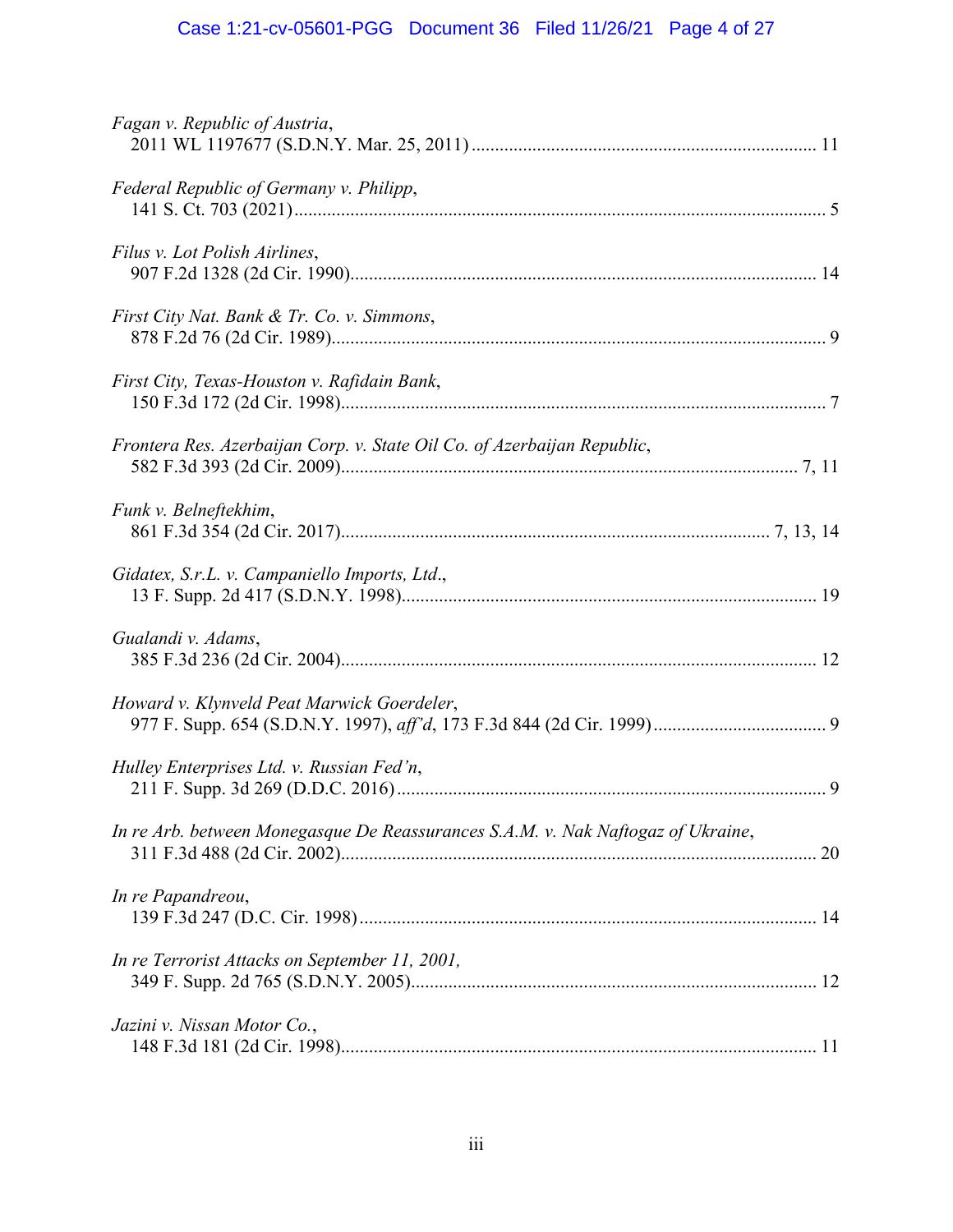# Case 1:21-cv-05601-PGG Document 36 Filed 11/26/21 Page 4 of 27

| Fagan v. Republic of Austria,                                                    |
|----------------------------------------------------------------------------------|
| Federal Republic of Germany v. Philipp,                                          |
| Filus v. Lot Polish Airlines,                                                    |
| First City Nat. Bank & Tr. Co. v. Simmons,                                       |
| First City, Texas-Houston v. Rafidain Bank,                                      |
| Frontera Res. Azerbaijan Corp. v. State Oil Co. of Azerbaijan Republic,          |
| Funk v. Belneftekhim,                                                            |
| Gidatex, S.r.L. v. Campaniello Imports, Ltd.,                                    |
| Gualandi v. Adams,                                                               |
| Howard v. Klynveld Peat Marwick Goerdeler,                                       |
| Hulley Enterprises Ltd. v. Russian Fed'n,                                        |
| In re Arb. between Monegasque De Reassurances S.A.M. v. Nak Naftogaz of Ukraine, |
| In re Papandreou,                                                                |
| In re Terrorist Attacks on September 11, 2001,                                   |
| Jazini v. Nissan Motor Co.,                                                      |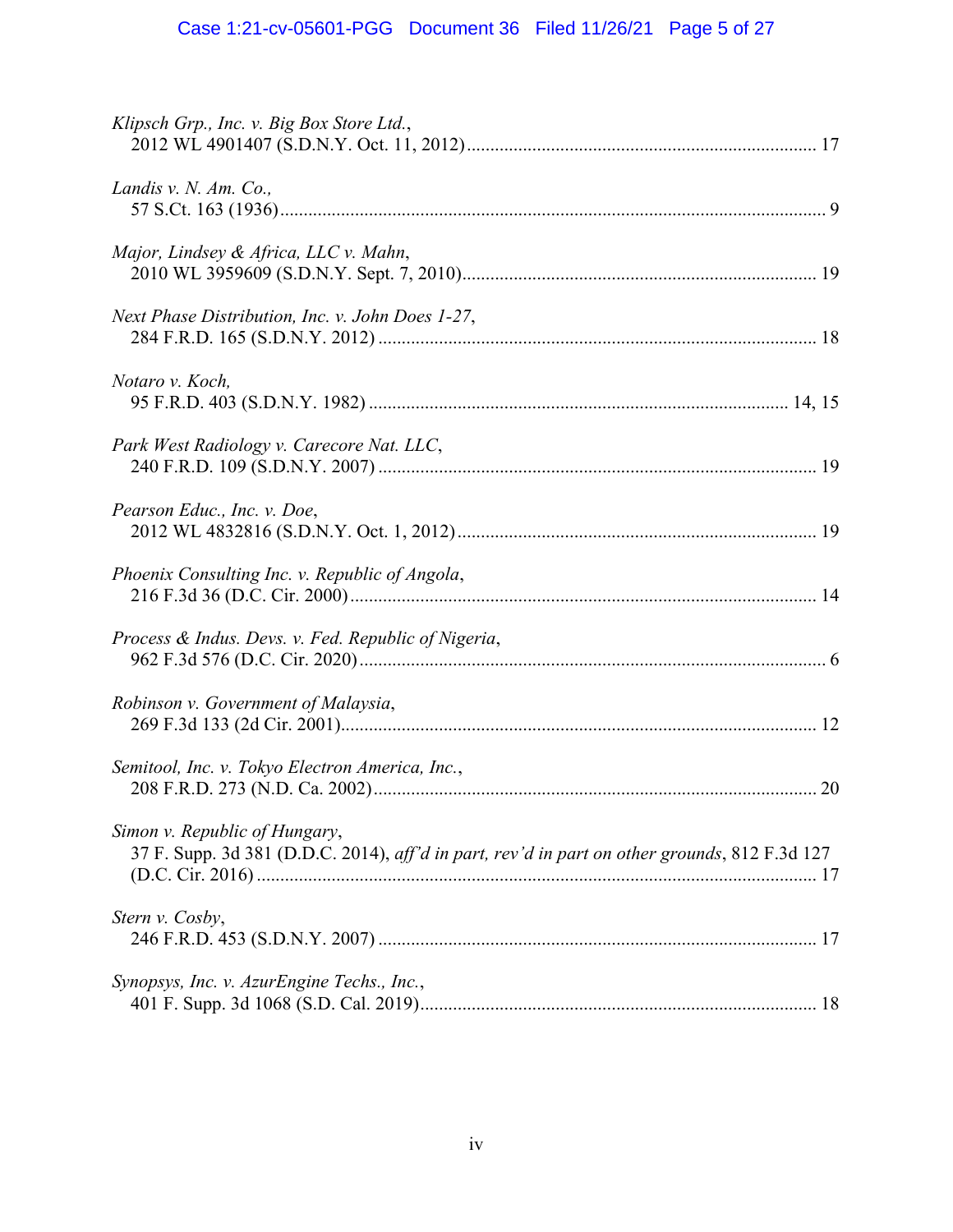| Klipsch Grp., Inc. v. Big Box Store Ltd.,                                                                                      |
|--------------------------------------------------------------------------------------------------------------------------------|
| Landis v. N. Am. Co.,                                                                                                          |
| Major, Lindsey & Africa, LLC v. Mahn,                                                                                          |
| Next Phase Distribution, Inc. v. John Does 1-27,                                                                               |
| Notaro v. Koch,                                                                                                                |
| Park West Radiology v. Carecore Nat. LLC,                                                                                      |
| Pearson Educ., Inc. v. Doe,                                                                                                    |
| Phoenix Consulting Inc. v. Republic of Angola,                                                                                 |
| Process & Indus. Devs. v. Fed. Republic of Nigeria,                                                                            |
| Robinson v. Government of Malaysia,                                                                                            |
| Semitool, Inc. v. Tokyo Electron America, Inc.,                                                                                |
| Simon v. Republic of Hungary,<br>37 F. Supp. 3d 381 (D.D.C. 2014), aff'd in part, rev'd in part on other grounds, 812 F.3d 127 |
| Stern v. Cosby,                                                                                                                |
| Synopsys, Inc. v. AzurEngine Techs., Inc.,                                                                                     |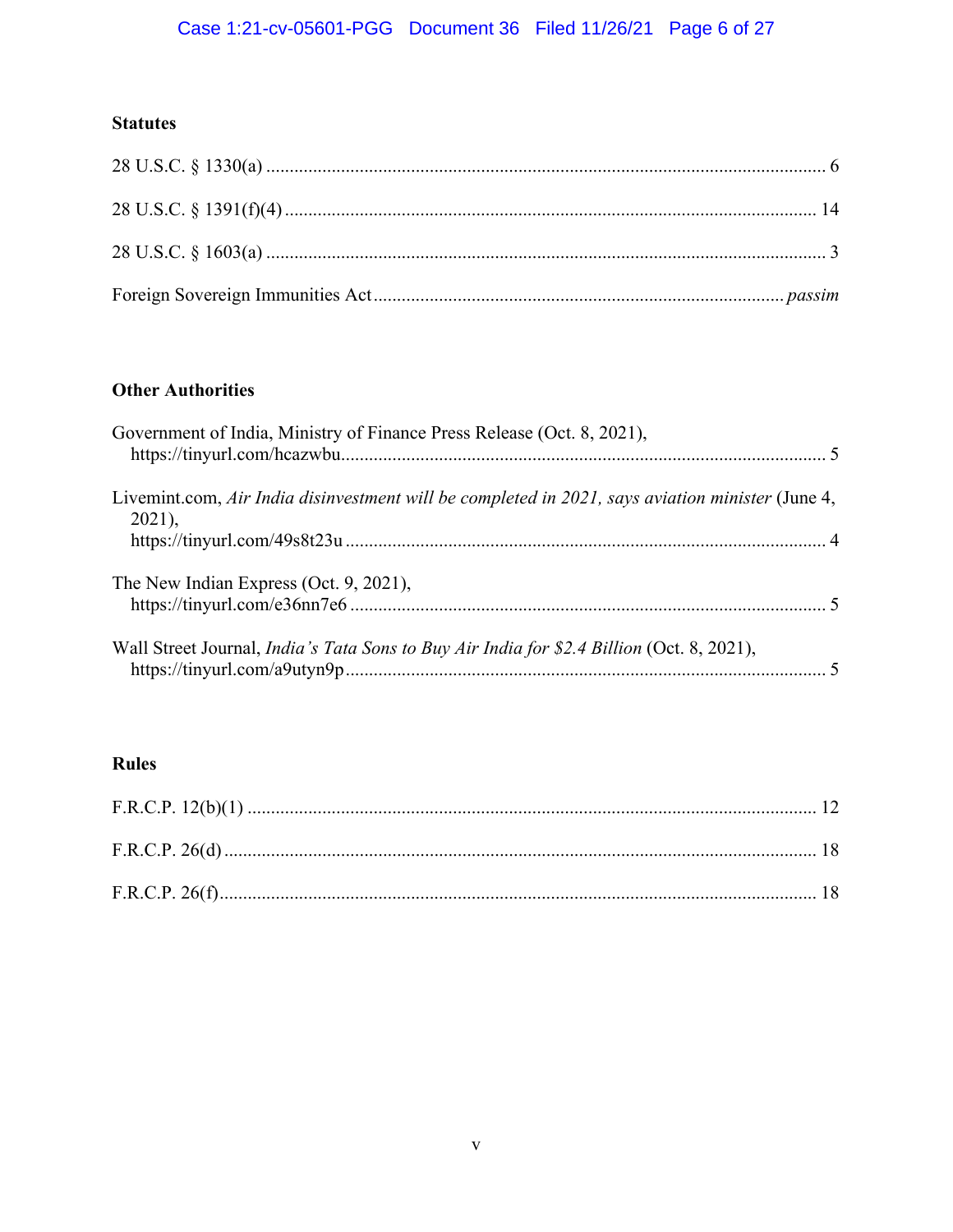# Case 1:21-cv-05601-PGG Document 36 Filed 11/26/21 Page 6 of 27

## **Statutes**

# **Other Authorities**

| Government of India, Ministry of Finance Press Release (Oct. 8, 2021),                                       |  |
|--------------------------------------------------------------------------------------------------------------|--|
| Livemint.com, Air India disinvestment will be completed in 2021, says aviation minister (June 4,<br>$2021$ , |  |
| The New Indian Express (Oct. 9, 2021),                                                                       |  |
| Wall Street Journal, <i>India's Tata Sons to Buy Air India for \$2.4 Billion</i> (Oct. 8, 2021),             |  |

# **Rules**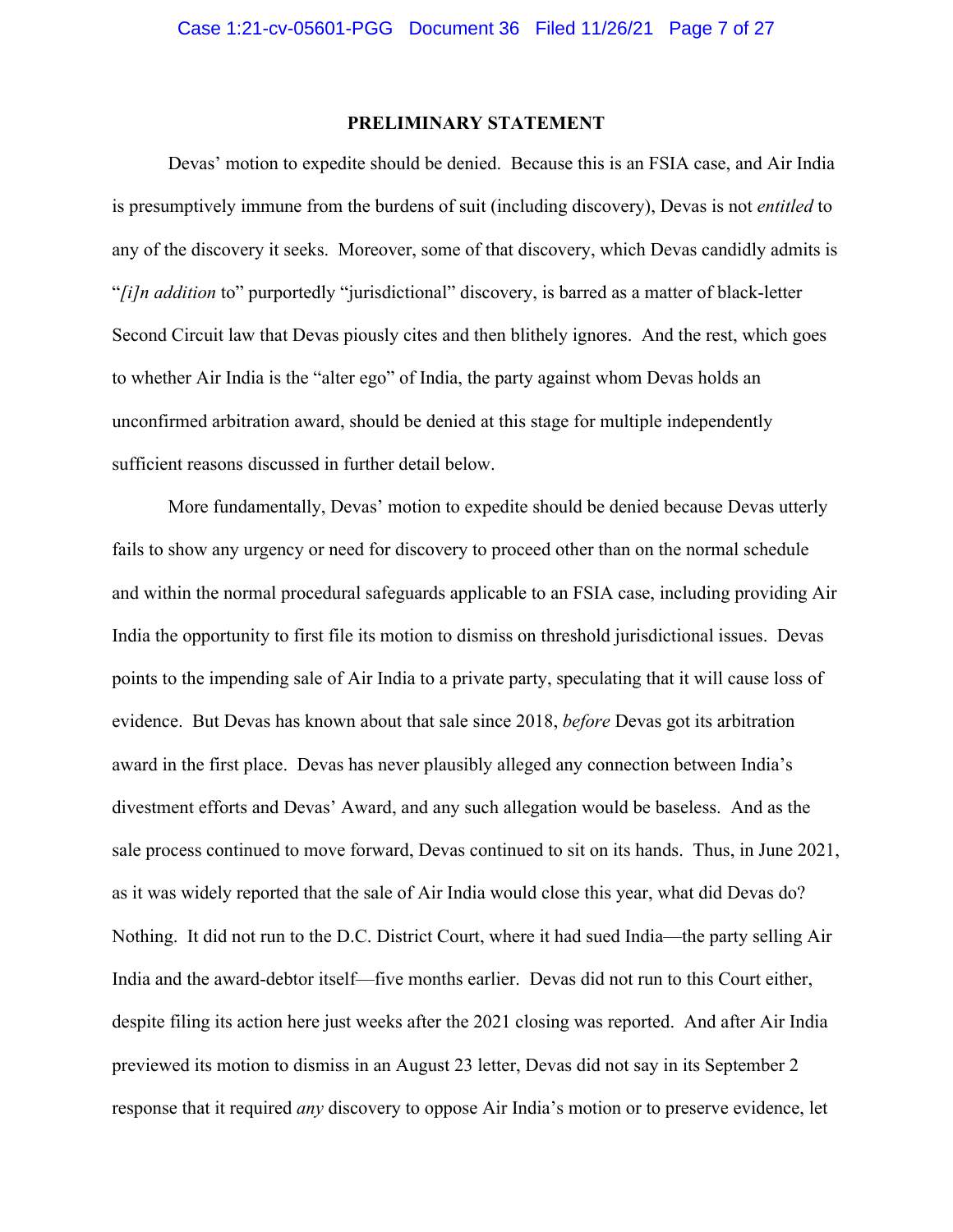### **PRELIMINARY STATEMENT**

Devas' motion to expedite should be denied. Because this is an FSIA case, and Air India is presumptively immune from the burdens of suit (including discovery), Devas is not *entitled* to any of the discovery it seeks. Moreover, some of that discovery, which Devas candidly admits is "*[i]n addition* to" purportedly "jurisdictional" discovery, is barred as a matter of black-letter Second Circuit law that Devas piously cites and then blithely ignores. And the rest, which goes to whether Air India is the "alter ego" of India, the party against whom Devas holds an unconfirmed arbitration award, should be denied at this stage for multiple independently sufficient reasons discussed in further detail below.

More fundamentally, Devas' motion to expedite should be denied because Devas utterly fails to show any urgency or need for discovery to proceed other than on the normal schedule and within the normal procedural safeguards applicable to an FSIA case, including providing Air India the opportunity to first file its motion to dismiss on threshold jurisdictional issues. Devas points to the impending sale of Air India to a private party, speculating that it will cause loss of evidence. But Devas has known about that sale since 2018, *before* Devas got its arbitration award in the first place. Devas has never plausibly alleged any connection between India's divestment efforts and Devas' Award, and any such allegation would be baseless. And as the sale process continued to move forward, Devas continued to sit on its hands. Thus, in June 2021, as it was widely reported that the sale of Air India would close this year, what did Devas do? Nothing. It did not run to the D.C. District Court, where it had sued India—the party selling Air India and the award-debtor itself—five months earlier. Devas did not run to this Court either, despite filing its action here just weeks after the 2021 closing was reported. And after Air India previewed its motion to dismiss in an August 23 letter, Devas did not say in its September 2 response that it required *any* discovery to oppose Air India's motion or to preserve evidence, let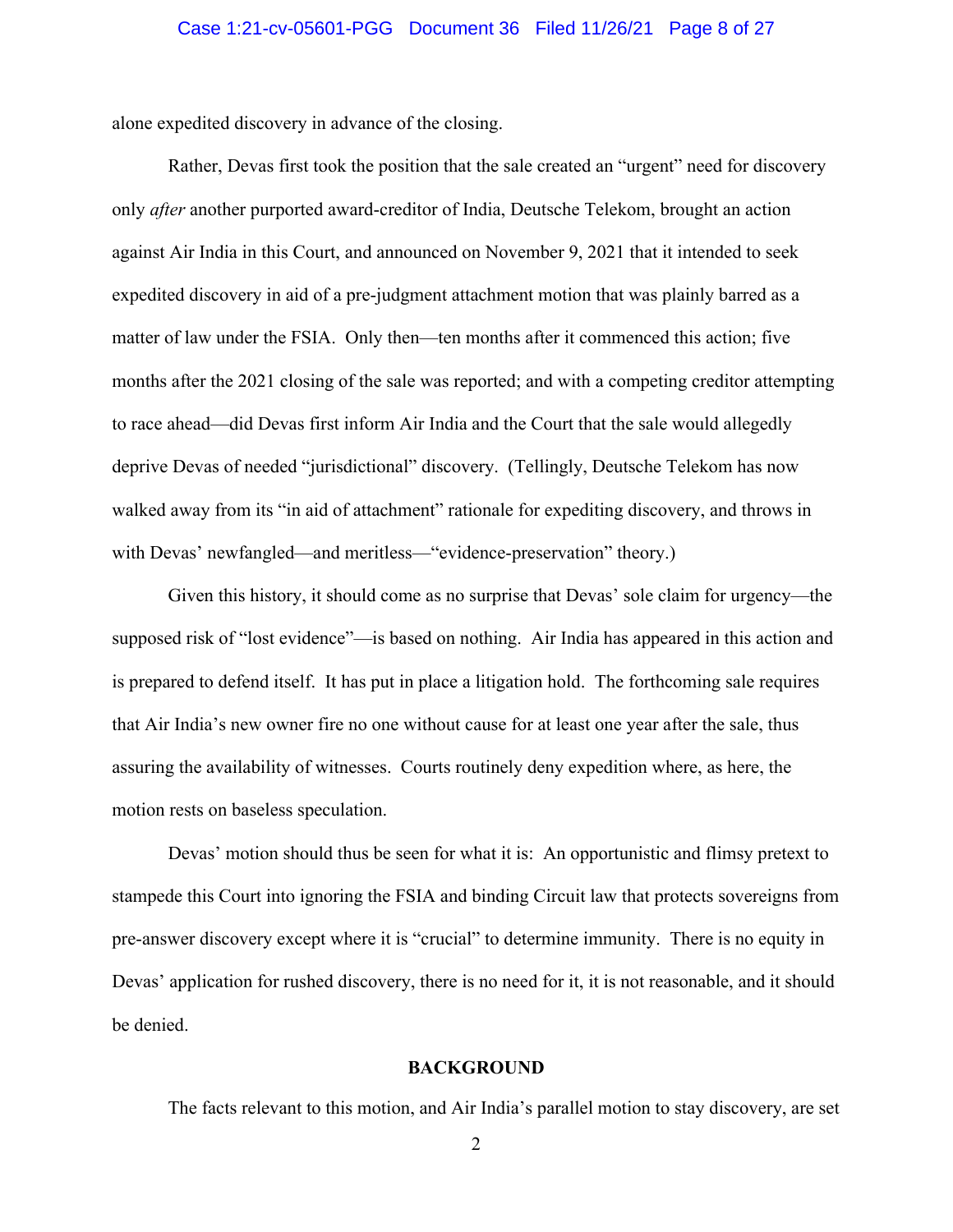alone expedited discovery in advance of the closing.

Rather, Devas first took the position that the sale created an "urgent" need for discovery only *after* another purported award-creditor of India, Deutsche Telekom, brought an action against Air India in this Court, and announced on November 9, 2021 that it intended to seek expedited discovery in aid of a pre-judgment attachment motion that was plainly barred as a matter of law under the FSIA. Only then—ten months after it commenced this action; five months after the 2021 closing of the sale was reported; and with a competing creditor attempting to race ahead—did Devas first inform Air India and the Court that the sale would allegedly deprive Devas of needed "jurisdictional" discovery. (Tellingly, Deutsche Telekom has now walked away from its "in aid of attachment" rationale for expediting discovery, and throws in with Devas' newfangled—and meritless—"evidence-preservation" theory.)

Given this history, it should come as no surprise that Devas' sole claim for urgency—the supposed risk of "lost evidence"—is based on nothing. Air India has appeared in this action and is prepared to defend itself. It has put in place a litigation hold. The forthcoming sale requires that Air India's new owner fire no one without cause for at least one year after the sale, thus assuring the availability of witnesses. Courts routinely deny expedition where, as here, the motion rests on baseless speculation.

Devas' motion should thus be seen for what it is: An opportunistic and flimsy pretext to stampede this Court into ignoring the FSIA and binding Circuit law that protects sovereigns from pre-answer discovery except where it is "crucial" to determine immunity. There is no equity in Devas' application for rushed discovery, there is no need for it, it is not reasonable, and it should be denied.

#### **BACKGROUND**

The facts relevant to this motion, and Air India's parallel motion to stay discovery, are set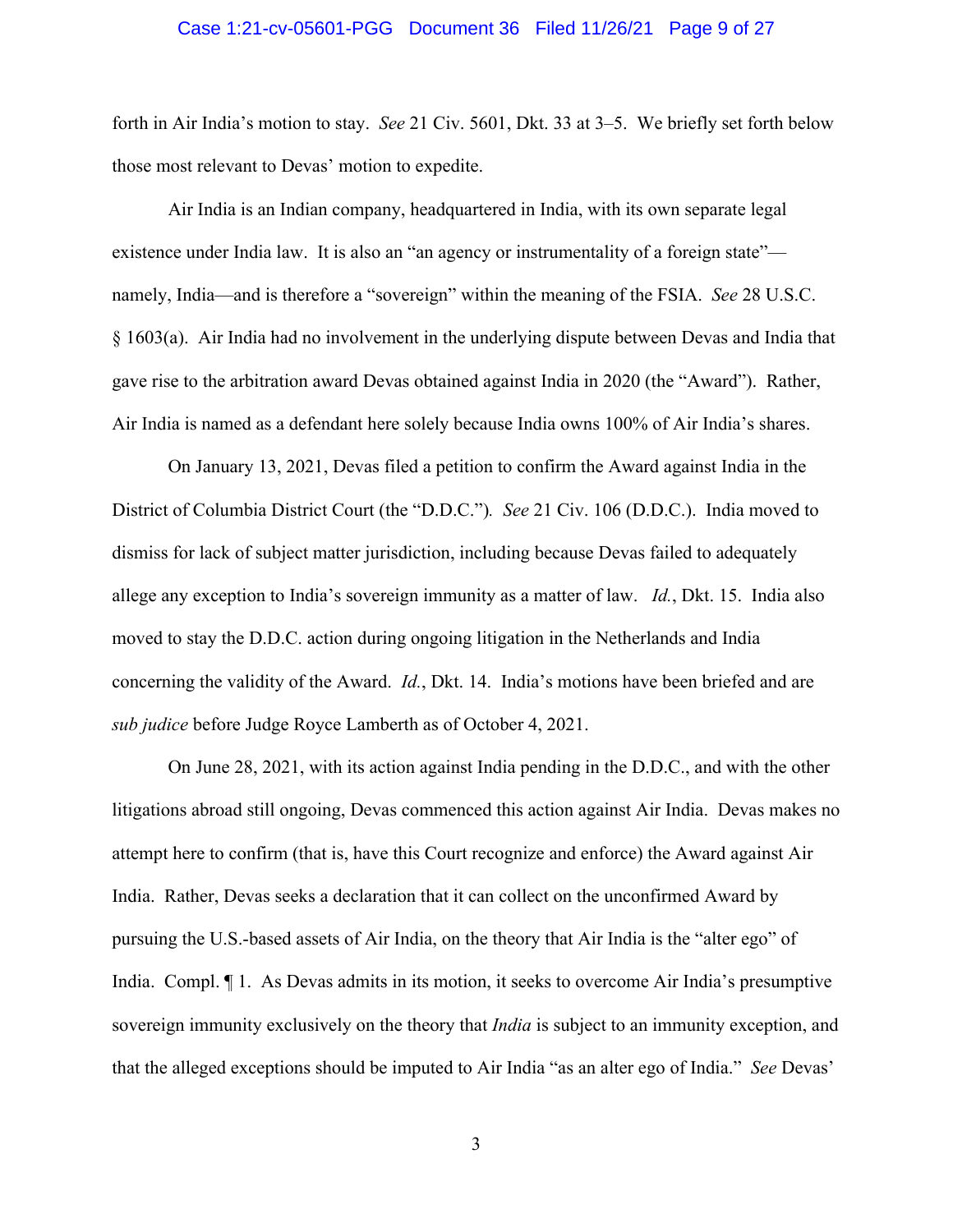#### Case 1:21-cv-05601-PGG Document 36 Filed 11/26/21 Page 9 of 27

forth in Air India's motion to stay. *See* 21 Civ. 5601, Dkt. 33 at 3–5. We briefly set forth below those most relevant to Devas' motion to expedite.

Air India is an Indian company, headquartered in India, with its own separate legal existence under India law. It is also an "an agency or instrumentality of a foreign state" namely, India—and is therefore a "sovereign" within the meaning of the FSIA. *See* 28 U.S.C. § 1603(a). Air India had no involvement in the underlying dispute between Devas and India that gave rise to the arbitration award Devas obtained against India in 2020 (the "Award"). Rather, Air India is named as a defendant here solely because India owns 100% of Air India's shares.

On January 13, 2021, Devas filed a petition to confirm the Award against India in the District of Columbia District Court (the "D.D.C.")*. See* 21 Civ. 106 (D.D.C.). India moved to dismiss for lack of subject matter jurisdiction, including because Devas failed to adequately allege any exception to India's sovereign immunity as a matter of law. *Id.*, Dkt. 15. India also moved to stay the D.D.C. action during ongoing litigation in the Netherlands and India concerning the validity of the Award. *Id.*, Dkt. 14. India's motions have been briefed and are *sub judice* before Judge Royce Lamberth as of October 4, 2021.

On June 28, 2021, with its action against India pending in the D.D.C., and with the other litigations abroad still ongoing, Devas commenced this action against Air India. Devas makes no attempt here to confirm (that is, have this Court recognize and enforce) the Award against Air India. Rather, Devas seeks a declaration that it can collect on the unconfirmed Award by pursuing the U.S.-based assets of Air India, on the theory that Air India is the "alter ego" of India. Compl. ¶ 1. As Devas admits in its motion, it seeks to overcome Air India's presumptive sovereign immunity exclusively on the theory that *India* is subject to an immunity exception, and that the alleged exceptions should be imputed to Air India "as an alter ego of India." *See* Devas'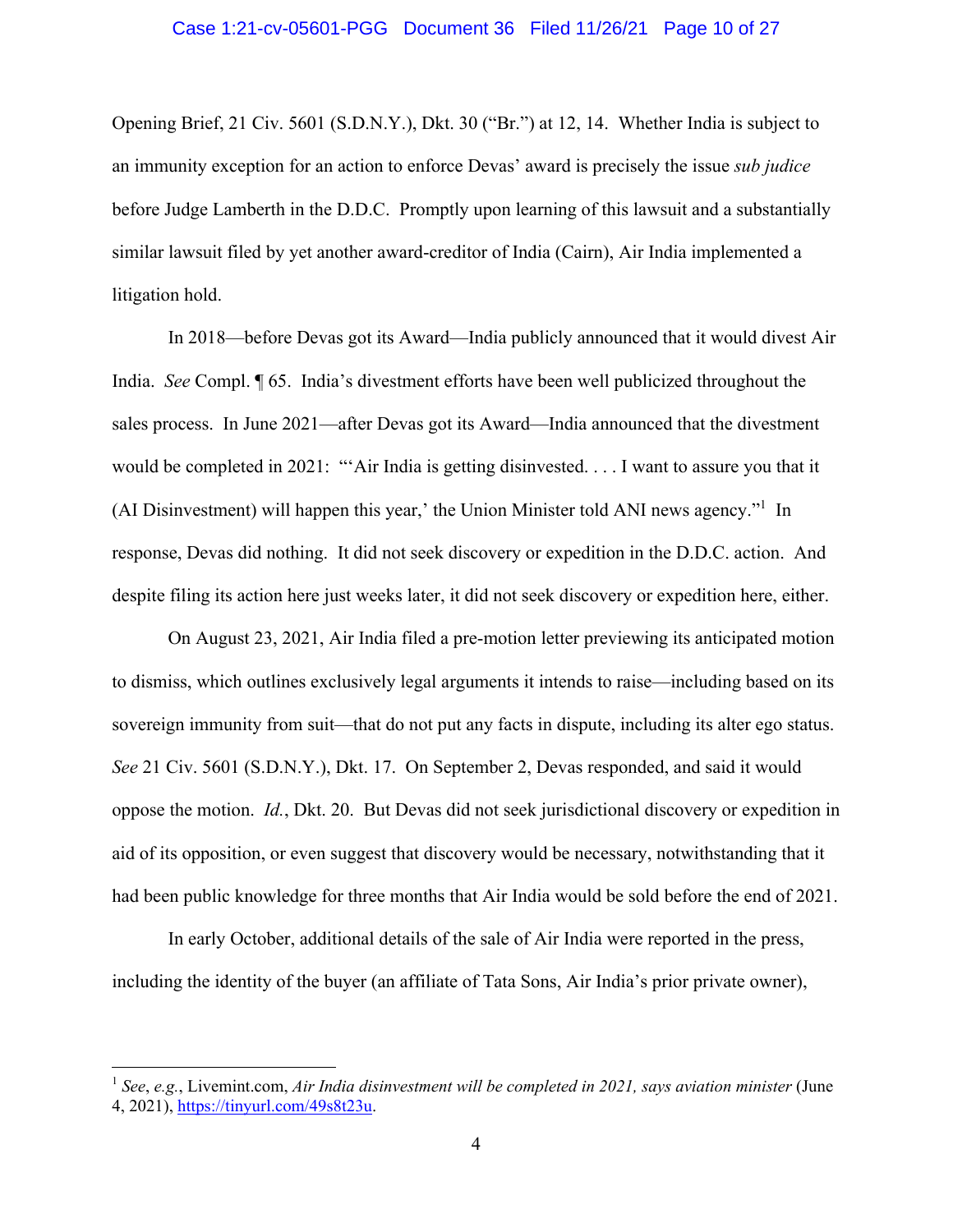#### Case 1:21-cv-05601-PGG Document 36 Filed 11/26/21 Page 10 of 27

Opening Brief, 21 Civ. 5601 (S.D.N.Y.), Dkt. 30 ("Br.") at 12, 14. Whether India is subject to an immunity exception for an action to enforce Devas' award is precisely the issue *sub judice*  before Judge Lamberth in the D.D.C. Promptly upon learning of this lawsuit and a substantially similar lawsuit filed by yet another award-creditor of India (Cairn), Air India implemented a litigation hold.

In 2018—before Devas got its Award—India publicly announced that it would divest Air India. *See* Compl. ¶ 65. India's divestment efforts have been well publicized throughout the sales process. In June 2021—after Devas got its Award—India announced that the divestment would be completed in 2021: "'Air India is getting disinvested. . . . I want to assure you that it (AI Disinvestment) will happen this year,' the Union Minister told ANI news agency."<sup>1</sup> In response, Devas did nothing. It did not seek discovery or expedition in the D.D.C. action. And despite filing its action here just weeks later, it did not seek discovery or expedition here, either.

On August 23, 2021, Air India filed a pre-motion letter previewing its anticipated motion to dismiss, which outlines exclusively legal arguments it intends to raise—including based on its sovereign immunity from suit—that do not put any facts in dispute, including its alter ego status. *See* 21 Civ. 5601 (S.D.N.Y.), Dkt. 17. On September 2, Devas responded, and said it would oppose the motion. *Id.*, Dkt. 20. But Devas did not seek jurisdictional discovery or expedition in aid of its opposition, or even suggest that discovery would be necessary, notwithstanding that it had been public knowledge for three months that Air India would be sold before the end of 2021.

In early October, additional details of the sale of Air India were reported in the press, including the identity of the buyer (an affiliate of Tata Sons, Air India's prior private owner),

<sup>1</sup> *See*, *e.g.*, Livemint.com, *Air India disinvestment will be completed in 2021, says aviation minister* (June 4, 2021), https://tinyurl.com/49s8t23u.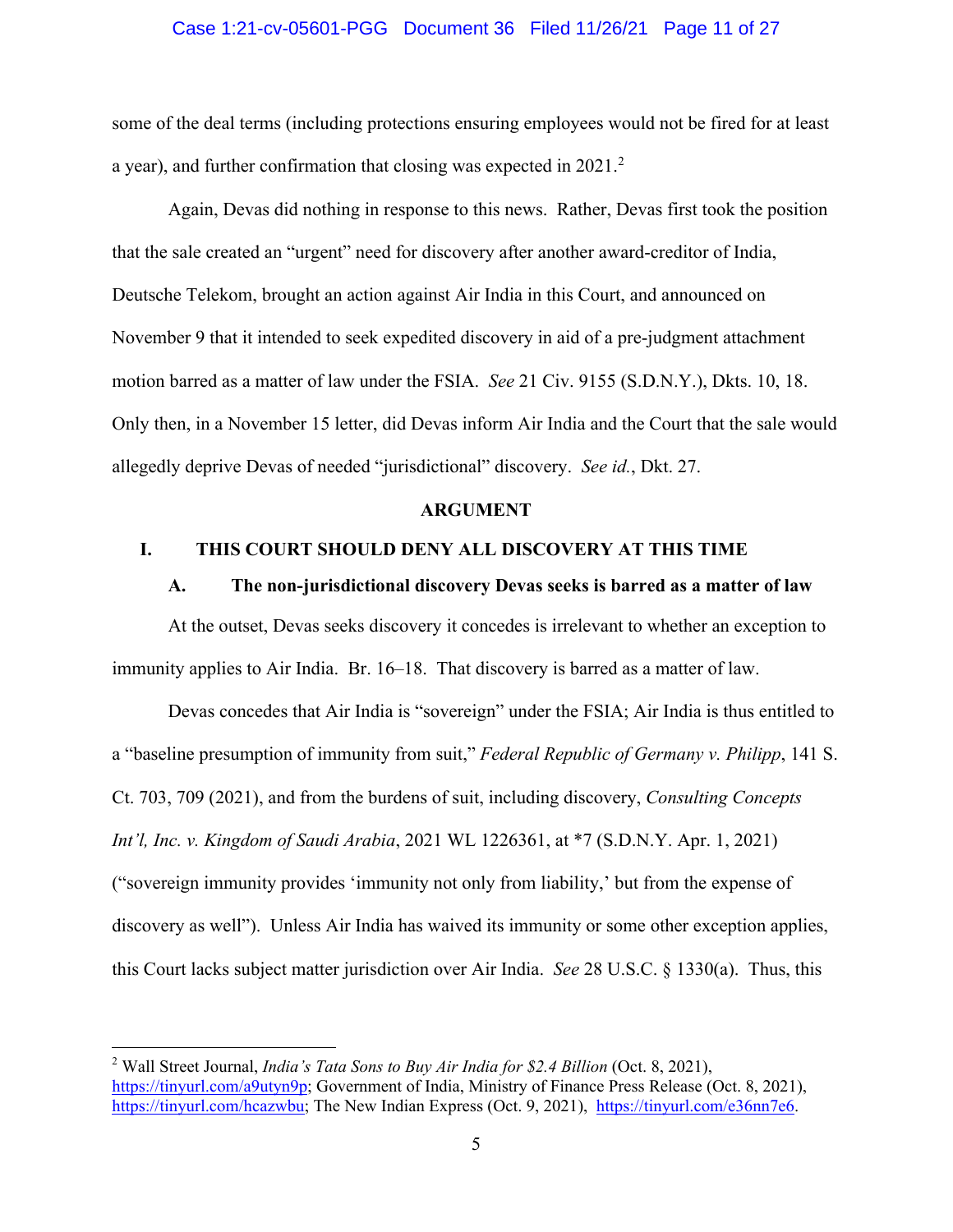#### Case 1:21-cv-05601-PGG Document 36 Filed 11/26/21 Page 11 of 27

some of the deal terms (including protections ensuring employees would not be fired for at least a year), and further confirmation that closing was expected in 2021. $^2$ 

Again, Devas did nothing in response to this news. Rather, Devas first took the position that the sale created an "urgent" need for discovery after another award-creditor of India, Deutsche Telekom, brought an action against Air India in this Court, and announced on November 9 that it intended to seek expedited discovery in aid of a pre-judgment attachment motion barred as a matter of law under the FSIA. *See* 21 Civ. 9155 (S.D.N.Y.), Dkts. 10, 18. Only then, in a November 15 letter, did Devas inform Air India and the Court that the sale would allegedly deprive Devas of needed "jurisdictional" discovery. *See id.*, Dkt. 27.

#### **ARGUMENT**

### **I. THIS COURT SHOULD DENY ALL DISCOVERY AT THIS TIME**

#### **A. The non-jurisdictional discovery Devas seeks is barred as a matter of law**

At the outset, Devas seeks discovery it concedes is irrelevant to whether an exception to immunity applies to Air India. Br. 16–18. That discovery is barred as a matter of law.

Devas concedes that Air India is "sovereign" under the FSIA; Air India is thus entitled to a "baseline presumption of immunity from suit," *Federal Republic of Germany v. Philipp*, 141 S. Ct. 703, 709 (2021), and from the burdens of suit, including discovery, *Consulting Concepts Int'l, Inc. v. Kingdom of Saudi Arabia*, 2021 WL 1226361, at \*7 (S.D.N.Y. Apr. 1, 2021) ("sovereign immunity provides 'immunity not only from liability,' but from the expense of discovery as well"). Unless Air India has waived its immunity or some other exception applies, this Court lacks subject matter jurisdiction over Air India. *See* 28 U.S.C. § 1330(a). Thus, this

<sup>2</sup> Wall Street Journal, *India's Tata Sons to Buy Air India for \$2.4 Billion* (Oct. 8, 2021), https://tinyurl.com/a9utyn9p; Government of India, Ministry of Finance Press Release (Oct. 8, 2021), https://tinyurl.com/hcazwbu; The New Indian Express (Oct. 9, 2021), https://tinyurl.com/e36nn7e6.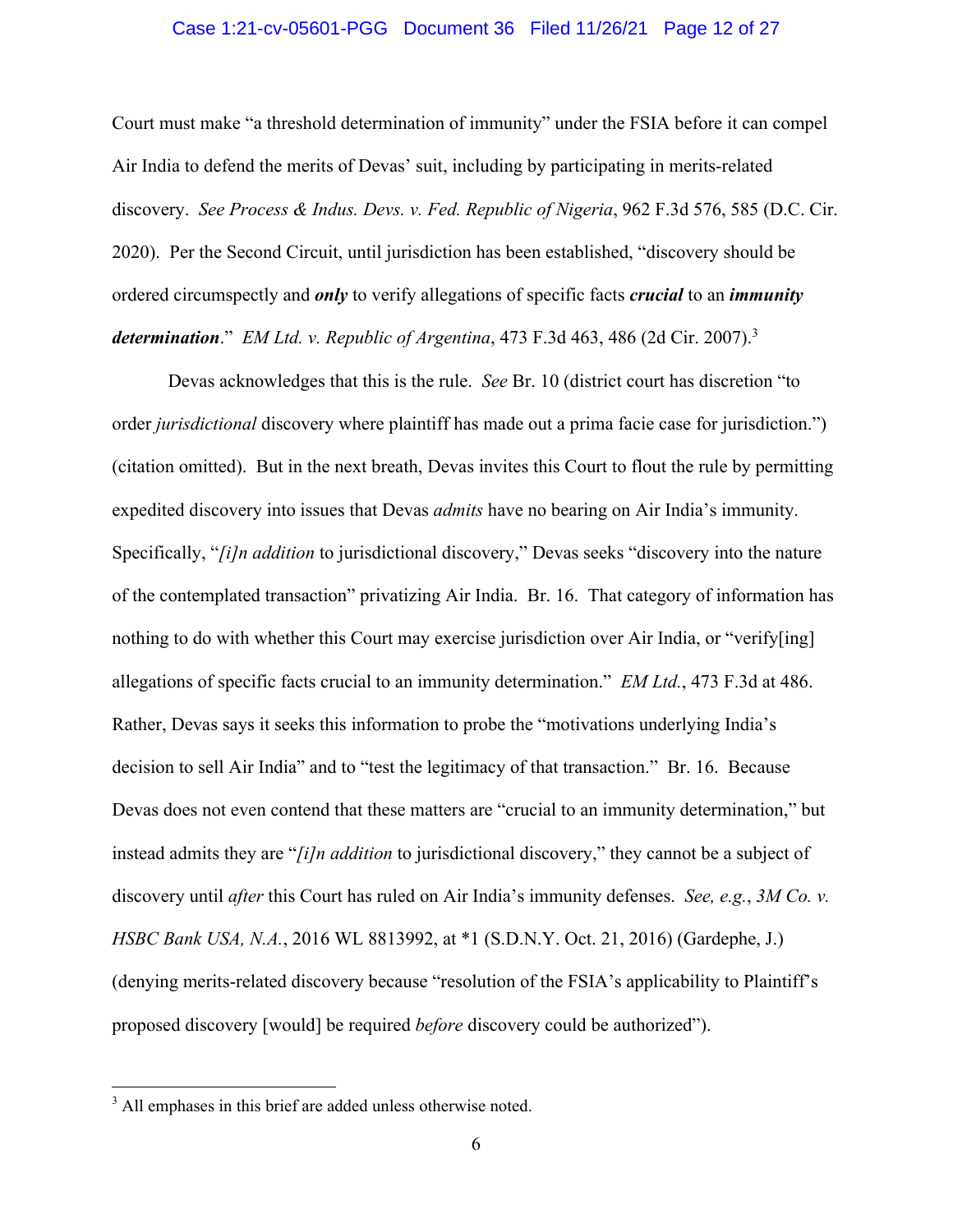#### Case 1:21-cv-05601-PGG Document 36 Filed 11/26/21 Page 12 of 27

Court must make "a threshold determination of immunity" under the FSIA before it can compel Air India to defend the merits of Devas' suit, including by participating in merits-related discovery. *See Process & Indus. Devs. v. Fed. Republic of Nigeria*, 962 F.3d 576, 585 (D.C. Cir. 2020). Per the Second Circuit, until jurisdiction has been established, "discovery should be ordered circumspectly and *only* to verify allegations of specific facts *crucial* to an *immunity determination*." *EM Ltd. v. Republic of Argentina*, 473 F.3d 463, 486 (2d Cir. 2007).3

Devas acknowledges that this is the rule. *See* Br. 10 (district court has discretion "to order *jurisdictional* discovery where plaintiff has made out a prima facie case for jurisdiction.") (citation omitted). But in the next breath, Devas invites this Court to flout the rule by permitting expedited discovery into issues that Devas *admits* have no bearing on Air India's immunity. Specifically, "*[i]n addition* to jurisdictional discovery," Devas seeks "discovery into the nature of the contemplated transaction" privatizing Air India. Br. 16. That category of information has nothing to do with whether this Court may exercise jurisdiction over Air India, or "verify[ing] allegations of specific facts crucial to an immunity determination." *EM Ltd.*, 473 F.3d at 486. Rather, Devas says it seeks this information to probe the "motivations underlying India's decision to sell Air India" and to "test the legitimacy of that transaction." Br. 16. Because Devas does not even contend that these matters are "crucial to an immunity determination," but instead admits they are "*[i]n addition* to jurisdictional discovery," they cannot be a subject of discovery until *after* this Court has ruled on Air India's immunity defenses. *See, e.g.*, *3M Co. v. HSBC Bank USA, N.A.*, 2016 WL 8813992, at \*1 (S.D.N.Y. Oct. 21, 2016) (Gardephe, J.) (denying merits-related discovery because "resolution of the FSIA's applicability to Plaintiff's proposed discovery [would] be required *before* discovery could be authorized").

<sup>&</sup>lt;sup>3</sup> All emphases in this brief are added unless otherwise noted.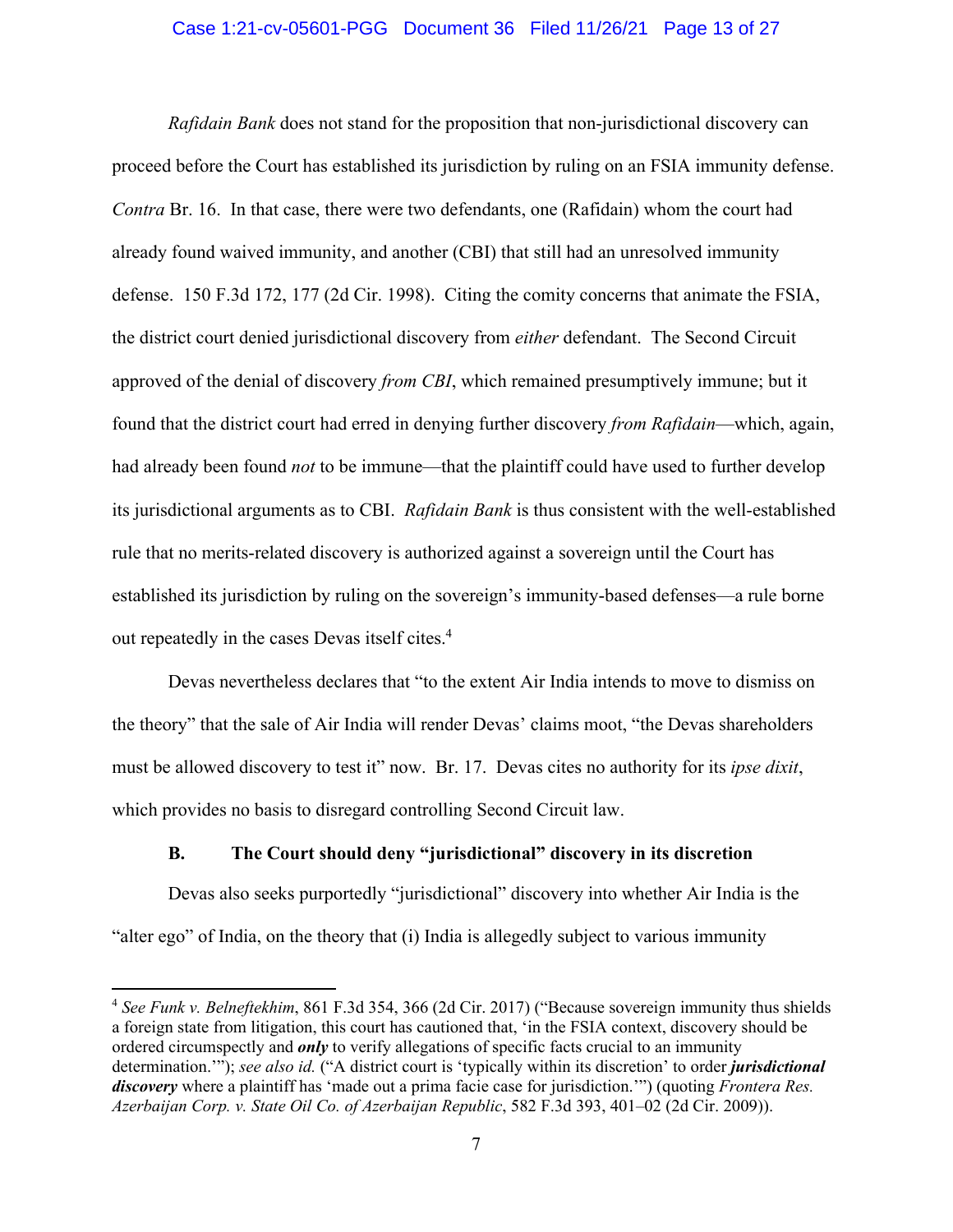#### Case 1:21-cv-05601-PGG Document 36 Filed 11/26/21 Page 13 of 27

*Rafidain Bank* does not stand for the proposition that non-jurisdictional discovery can proceed before the Court has established its jurisdiction by ruling on an FSIA immunity defense. *Contra* Br. 16. In that case, there were two defendants, one (Rafidain) whom the court had already found waived immunity, and another (CBI) that still had an unresolved immunity defense. 150 F.3d 172, 177 (2d Cir. 1998). Citing the comity concerns that animate the FSIA, the district court denied jurisdictional discovery from *either* defendant. The Second Circuit approved of the denial of discovery *from CBI*, which remained presumptively immune; but it found that the district court had erred in denying further discovery *from Rafidain*—which, again, had already been found *not* to be immune—that the plaintiff could have used to further develop its jurisdictional arguments as to CBI. *Rafidain Bank* is thus consistent with the well-established rule that no merits-related discovery is authorized against a sovereign until the Court has established its jurisdiction by ruling on the sovereign's immunity-based defenses—a rule borne out repeatedly in the cases Devas itself cites.<sup>4</sup>

Devas nevertheless declares that "to the extent Air India intends to move to dismiss on the theory" that the sale of Air India will render Devas' claims moot, "the Devas shareholders must be allowed discovery to test it" now. Br. 17. Devas cites no authority for its *ipse dixit*, which provides no basis to disregard controlling Second Circuit law.

#### **B. The Court should deny "jurisdictional" discovery in its discretion**

Devas also seeks purportedly "jurisdictional" discovery into whether Air India is the "alter ego" of India, on the theory that (i) India is allegedly subject to various immunity

<sup>4</sup> *See Funk v. Belneftekhim*, 861 F.3d 354, 366 (2d Cir. 2017) ("Because sovereign immunity thus shields a foreign state from litigation, this court has cautioned that, 'in the FSIA context, discovery should be ordered circumspectly and *only* to verify allegations of specific facts crucial to an immunity determination.'"); *see also id.* ("A district court is 'typically within its discretion' to order *jurisdictional discovery* where a plaintiff has 'made out a prima facie case for jurisdiction.'") (quoting *Frontera Res. Azerbaijan Corp. v. State Oil Co. of Azerbaijan Republic*, 582 F.3d 393, 401–02 (2d Cir. 2009)).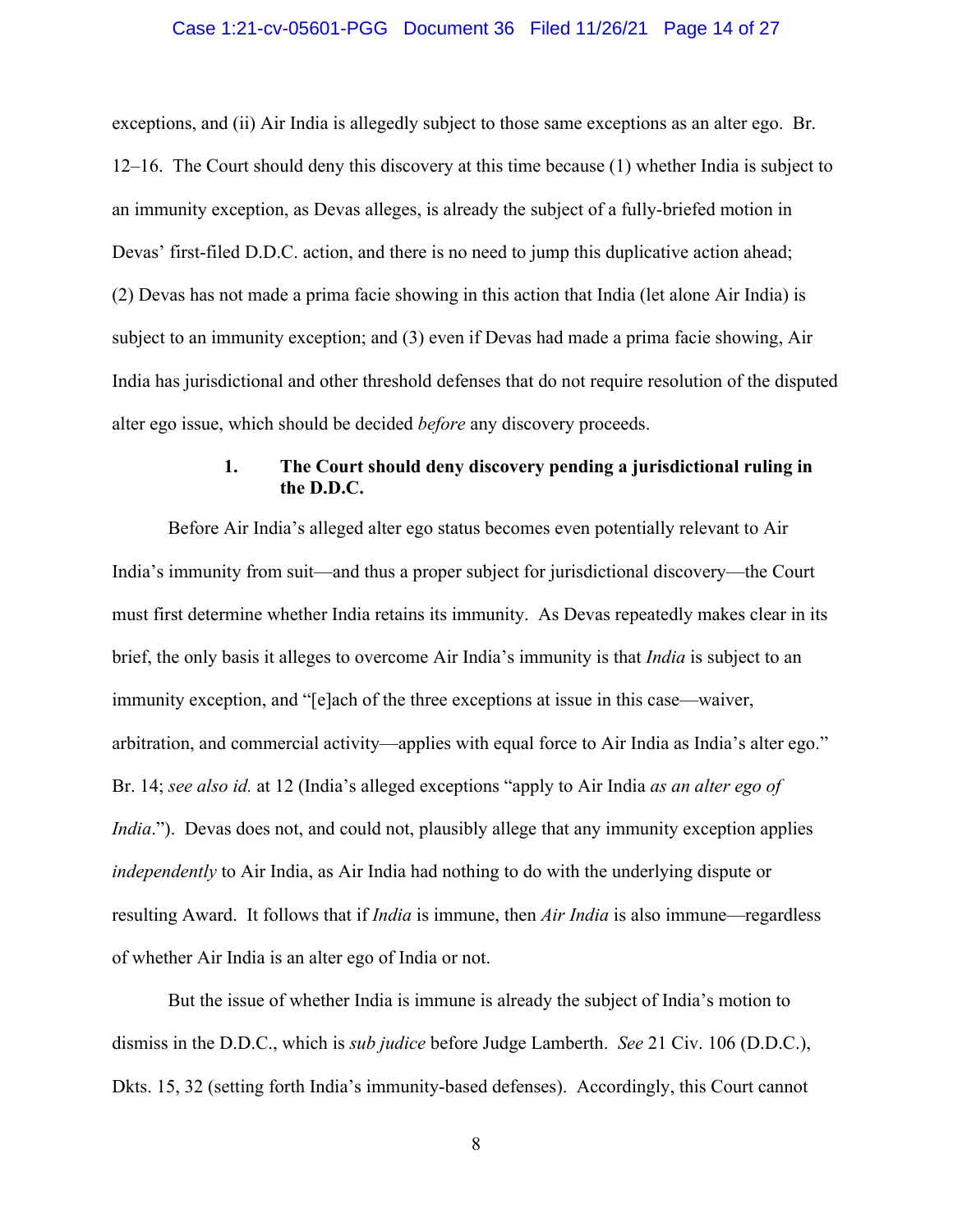#### Case 1:21-cv-05601-PGG Document 36 Filed 11/26/21 Page 14 of 27

exceptions, and (ii) Air India is allegedly subject to those same exceptions as an alter ego. Br. 12–16. The Court should deny this discovery at this time because (1) whether India is subject to an immunity exception, as Devas alleges, is already the subject of a fully-briefed motion in Devas' first-filed D.D.C. action, and there is no need to jump this duplicative action ahead; (2) Devas has not made a prima facie showing in this action that India (let alone Air India) is subject to an immunity exception; and (3) even if Devas had made a prima facie showing, Air India has jurisdictional and other threshold defenses that do not require resolution of the disputed alter ego issue, which should be decided *before* any discovery proceeds.

## **1. The Court should deny discovery pending a jurisdictional ruling in the D.D.C.**

Before Air India's alleged alter ego status becomes even potentially relevant to Air India's immunity from suit—and thus a proper subject for jurisdictional discovery—the Court must first determine whether India retains its immunity. As Devas repeatedly makes clear in its brief, the only basis it alleges to overcome Air India's immunity is that *India* is subject to an immunity exception, and "[e]ach of the three exceptions at issue in this case—waiver, arbitration, and commercial activity—applies with equal force to Air India as India's alter ego." Br. 14; *see also id.* at 12 (India's alleged exceptions "apply to Air India *as an alter ego of India*."). Devas does not, and could not, plausibly allege that any immunity exception applies *independently* to Air India, as Air India had nothing to do with the underlying dispute or resulting Award. It follows that if *India* is immune, then *Air India* is also immune—regardless of whether Air India is an alter ego of India or not.

But the issue of whether India is immune is already the subject of India's motion to dismiss in the D.D.C., which is *sub judice* before Judge Lamberth. *See* 21 Civ. 106 (D.D.C.), Dkts. 15, 32 (setting forth India's immunity-based defenses). Accordingly, this Court cannot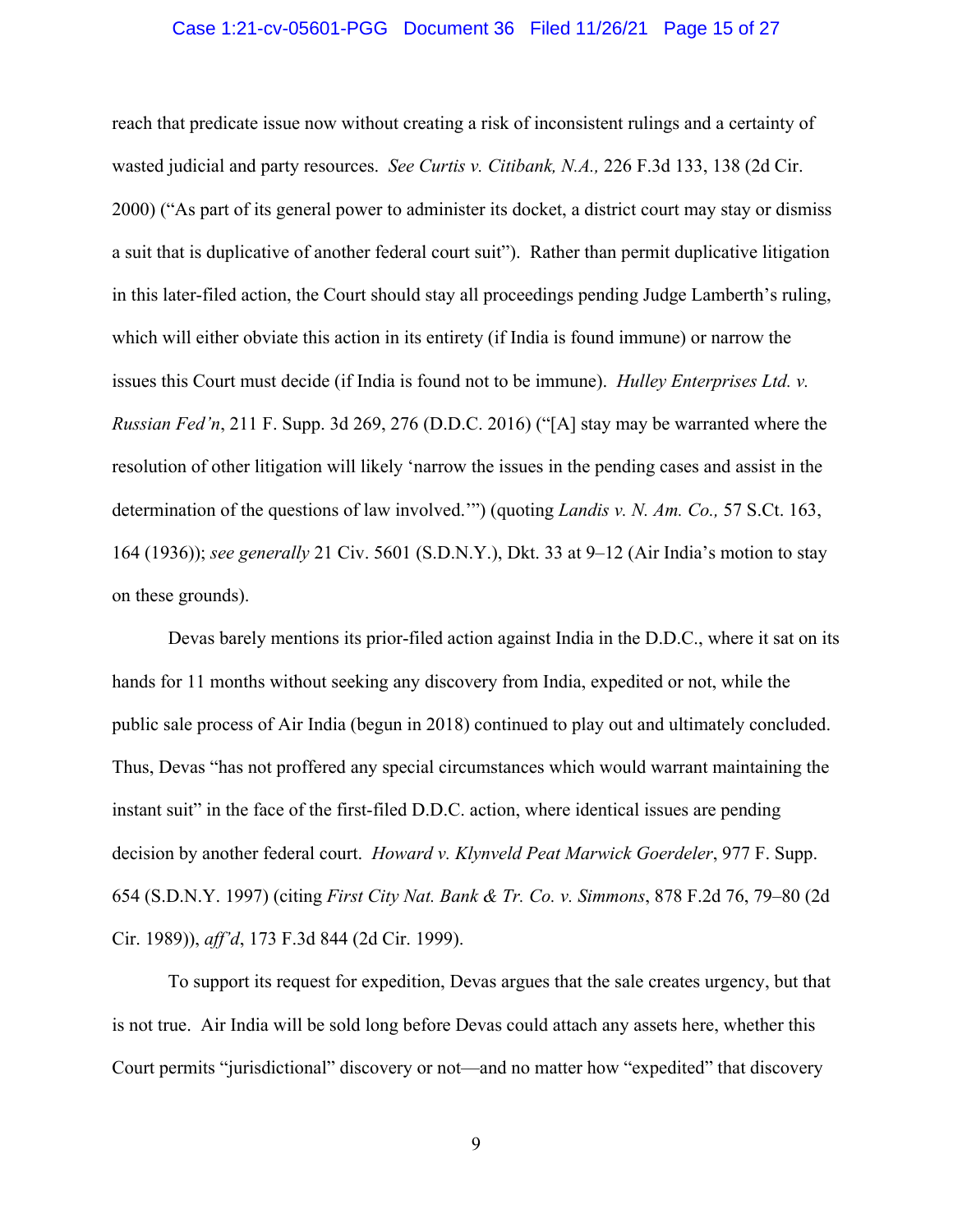#### Case 1:21-cv-05601-PGG Document 36 Filed 11/26/21 Page 15 of 27

reach that predicate issue now without creating a risk of inconsistent rulings and a certainty of wasted judicial and party resources. *See Curtis v. Citibank, N.A.,* 226 F.3d 133, 138 (2d Cir. 2000) ("As part of its general power to administer its docket, a district court may stay or dismiss a suit that is duplicative of another federal court suit"). Rather than permit duplicative litigation in this later-filed action, the Court should stay all proceedings pending Judge Lamberth's ruling, which will either obviate this action in its entirety (if India is found immune) or narrow the issues this Court must decide (if India is found not to be immune). *Hulley Enterprises Ltd. v. Russian Fed'n*, 211 F. Supp. 3d 269, 276 (D.D.C. 2016) ("[A] stay may be warranted where the resolution of other litigation will likely 'narrow the issues in the pending cases and assist in the determination of the questions of law involved.'") (quoting *Landis v. N. Am. Co.,* 57 S.Ct. 163, 164 (1936)); *see generally* 21 Civ. 5601 (S.D.N.Y.), Dkt. 33 at 9–12 (Air India's motion to stay on these grounds).

Devas barely mentions its prior-filed action against India in the D.D.C., where it sat on its hands for 11 months without seeking any discovery from India, expedited or not, while the public sale process of Air India (begun in 2018) continued to play out and ultimately concluded. Thus, Devas "has not proffered any special circumstances which would warrant maintaining the instant suit" in the face of the first-filed D.D.C. action, where identical issues are pending decision by another federal court. *Howard v. Klynveld Peat Marwick Goerdeler*, 977 F. Supp. 654 (S.D.N.Y. 1997) (citing *First City Nat. Bank & Tr. Co. v. Simmons*, 878 F.2d 76, 79–80 (2d Cir. 1989)), *aff'd*, 173 F.3d 844 (2d Cir. 1999).

To support its request for expedition, Devas argues that the sale creates urgency, but that is not true. Air India will be sold long before Devas could attach any assets here, whether this Court permits "jurisdictional" discovery or not—and no matter how "expedited" that discovery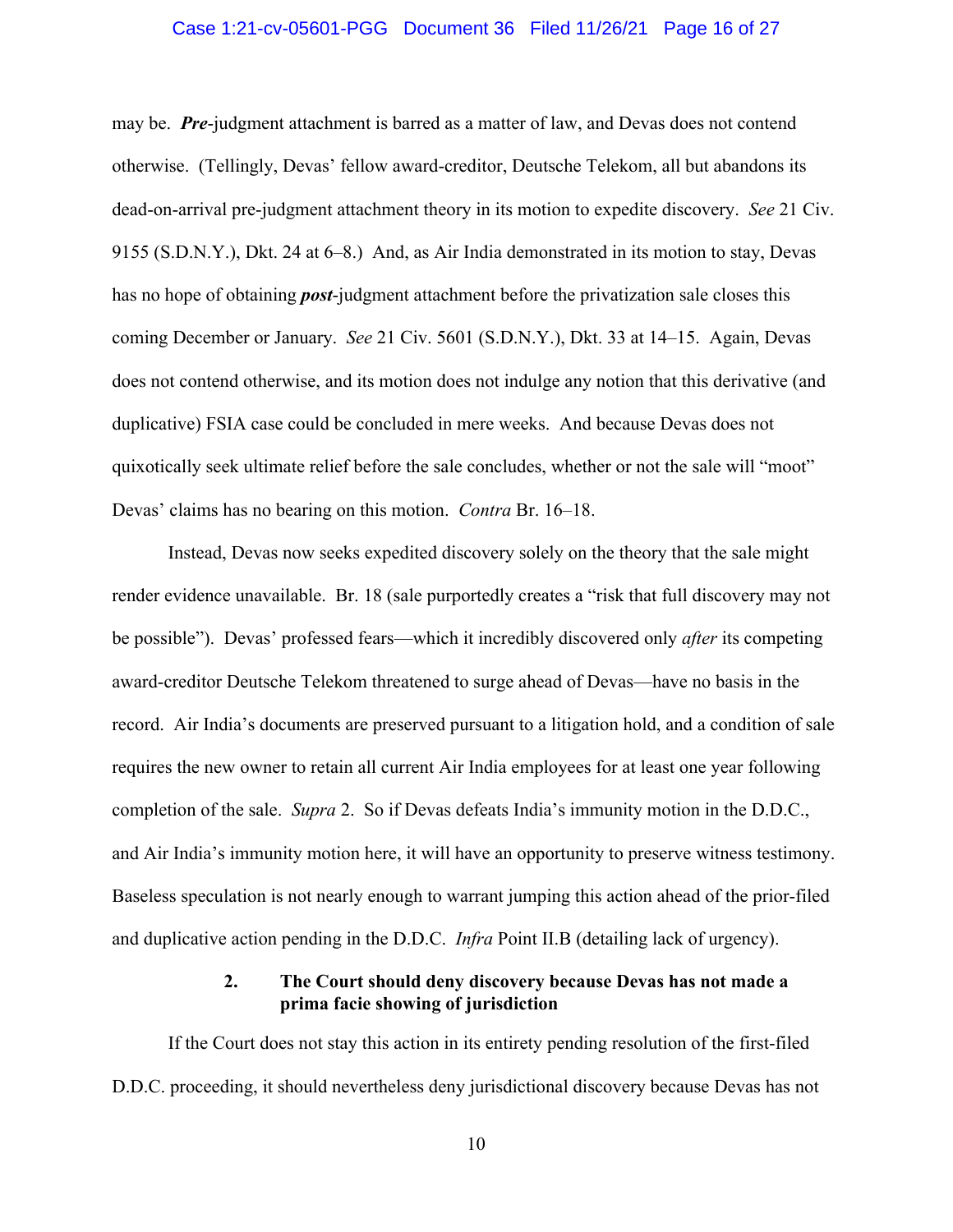#### Case 1:21-cv-05601-PGG Document 36 Filed 11/26/21 Page 16 of 27

may be. *Pre*-judgment attachment is barred as a matter of law, and Devas does not contend otherwise. (Tellingly, Devas' fellow award-creditor, Deutsche Telekom, all but abandons its dead-on-arrival pre-judgment attachment theory in its motion to expedite discovery. *See* 21 Civ. 9155 (S.D.N.Y.), Dkt. 24 at 6–8.) And, as Air India demonstrated in its motion to stay, Devas has no hope of obtaining *post*-judgment attachment before the privatization sale closes this coming December or January. *See* 21 Civ. 5601 (S.D.N.Y.), Dkt. 33 at 14–15. Again, Devas does not contend otherwise, and its motion does not indulge any notion that this derivative (and duplicative) FSIA case could be concluded in mere weeks. And because Devas does not quixotically seek ultimate relief before the sale concludes, whether or not the sale will "moot" Devas' claims has no bearing on this motion. *Contra* Br. 16–18.

Instead, Devas now seeks expedited discovery solely on the theory that the sale might render evidence unavailable. Br. 18 (sale purportedly creates a "risk that full discovery may not be possible"). Devas' professed fears—which it incredibly discovered only *after* its competing award-creditor Deutsche Telekom threatened to surge ahead of Devas—have no basis in the record. Air India's documents are preserved pursuant to a litigation hold, and a condition of sale requires the new owner to retain all current Air India employees for at least one year following completion of the sale. *Supra* 2. So if Devas defeats India's immunity motion in the D.D.C., and Air India's immunity motion here, it will have an opportunity to preserve witness testimony. Baseless speculation is not nearly enough to warrant jumping this action ahead of the prior-filed and duplicative action pending in the D.D.C. *Infra* Point II.B (detailing lack of urgency).

### **2. The Court should deny discovery because Devas has not made a prima facie showing of jurisdiction**

If the Court does not stay this action in its entirety pending resolution of the first-filed D.D.C. proceeding, it should nevertheless deny jurisdictional discovery because Devas has not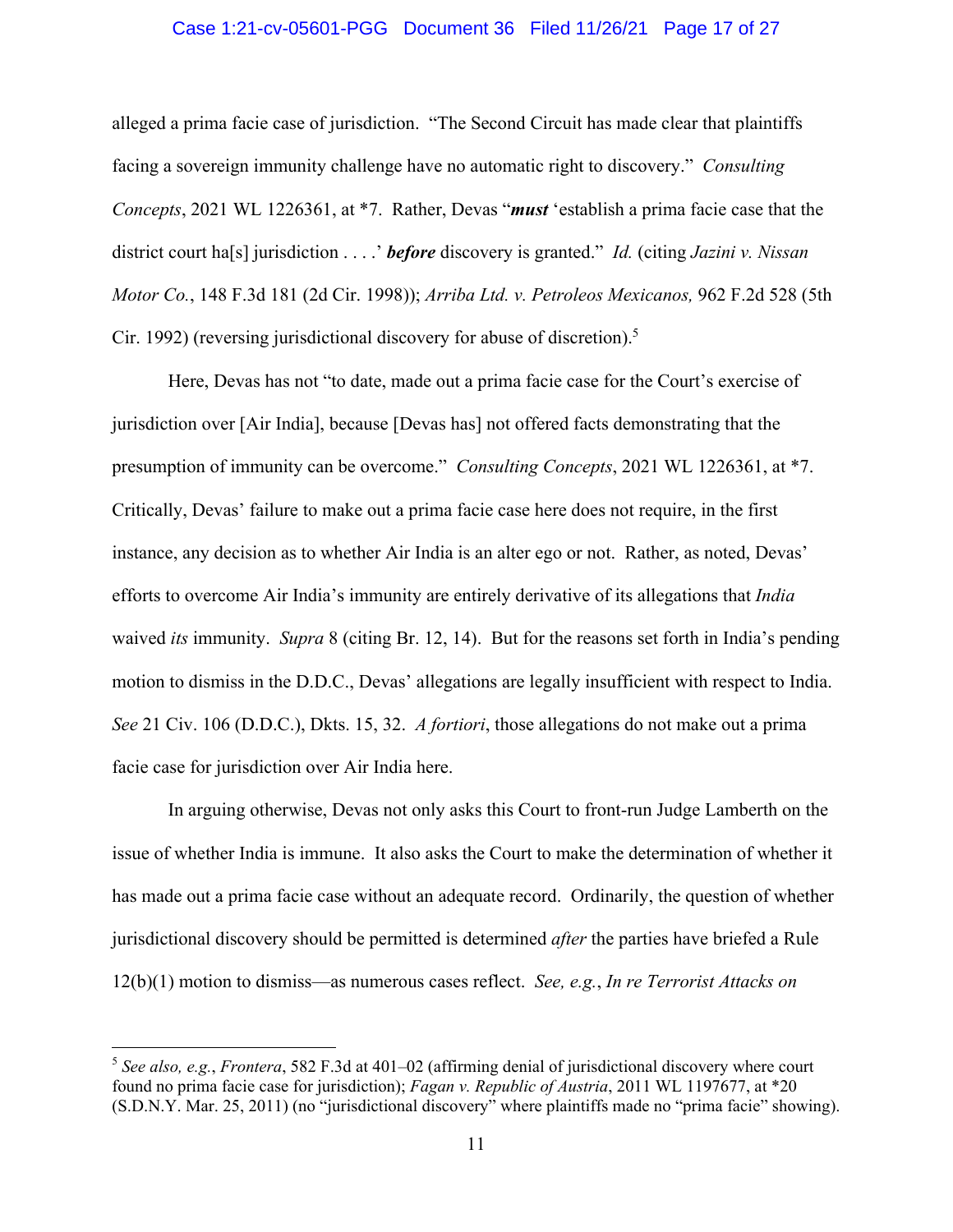#### Case 1:21-cv-05601-PGG Document 36 Filed 11/26/21 Page 17 of 27

alleged a prima facie case of jurisdiction. "The Second Circuit has made clear that plaintiffs facing a sovereign immunity challenge have no automatic right to discovery." *Consulting Concepts*, 2021 WL 1226361, at \*7. Rather, Devas "*must* 'establish a prima facie case that the district court ha[s] jurisdiction . . . .' *before* discovery is granted." *Id.* (citing *Jazini v. Nissan Motor Co.*, 148 F.3d 181 (2d Cir. 1998)); *Arriba Ltd. v. Petroleos Mexicanos,* 962 F.2d 528 (5th Cir. 1992) (reversing jurisdictional discovery for abuse of discretion).<sup>5</sup>

Here, Devas has not "to date, made out a prima facie case for the Court's exercise of jurisdiction over [Air India], because [Devas has] not offered facts demonstrating that the presumption of immunity can be overcome." *Consulting Concepts*, 2021 WL 1226361, at \*7. Critically, Devas' failure to make out a prima facie case here does not require, in the first instance, any decision as to whether Air India is an alter ego or not. Rather, as noted, Devas' efforts to overcome Air India's immunity are entirely derivative of its allegations that *India* waived *its* immunity. *Supra* 8 (citing Br. 12, 14). But for the reasons set forth in India's pending motion to dismiss in the D.D.C., Devas' allegations are legally insufficient with respect to India. *See* 21 Civ. 106 (D.D.C.), Dkts. 15, 32. *A fortiori*, those allegations do not make out a prima facie case for jurisdiction over Air India here.

In arguing otherwise, Devas not only asks this Court to front-run Judge Lamberth on the issue of whether India is immune. It also asks the Court to make the determination of whether it has made out a prima facie case without an adequate record. Ordinarily, the question of whether jurisdictional discovery should be permitted is determined *after* the parties have briefed a Rule 12(b)(1) motion to dismiss—as numerous cases reflect. *See, e.g.*, *In re Terrorist Attacks on* 

<sup>5</sup> *See also, e.g.*, *Frontera*, 582 F.3d at 401–02 (affirming denial of jurisdictional discovery where court found no prima facie case for jurisdiction); *Fagan v. Republic of Austria*, 2011 WL 1197677, at \*20 (S.D.N.Y. Mar. 25, 2011) (no "jurisdictional discovery" where plaintiffs made no "prima facie" showing).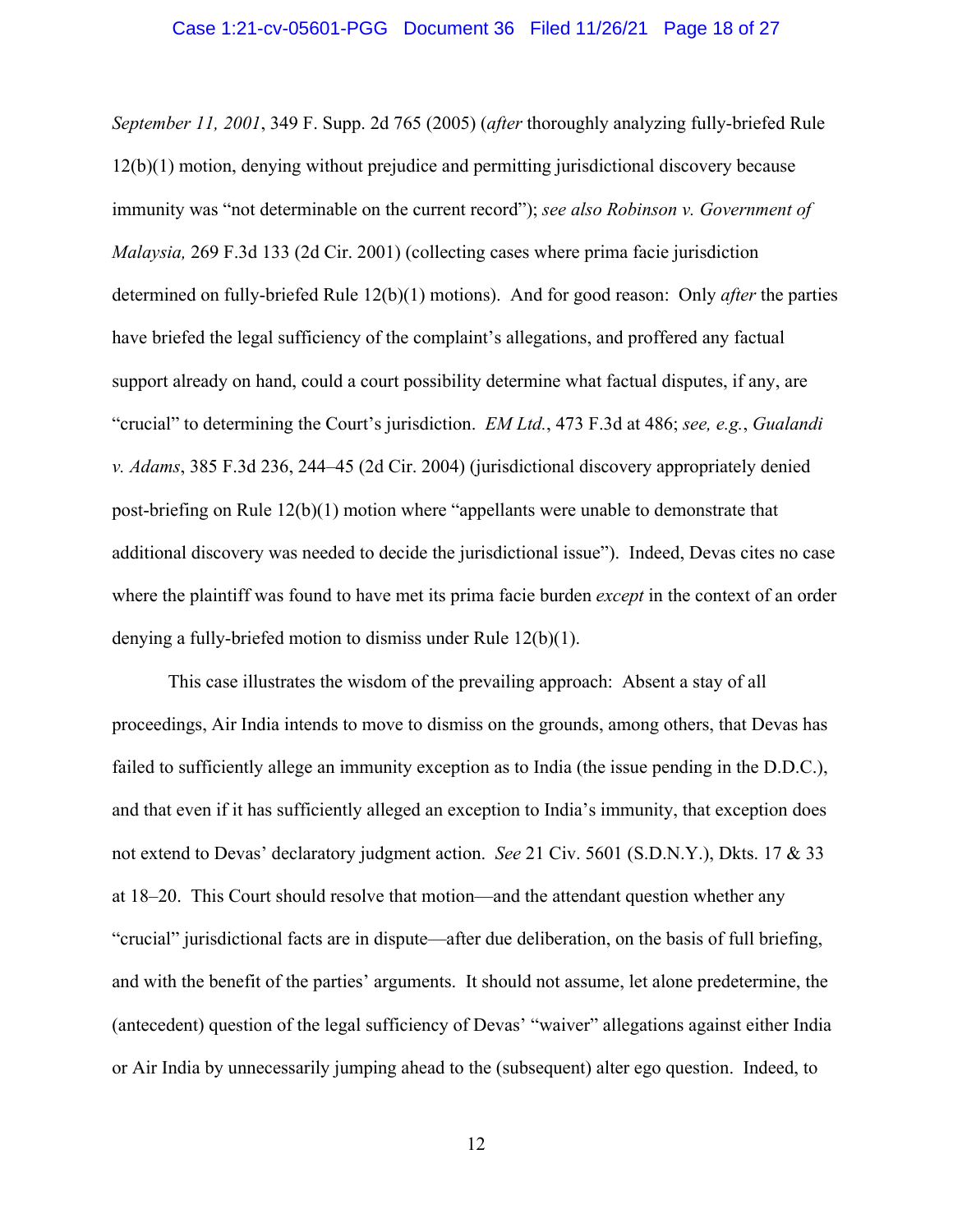*September 11, 2001*, 349 F. Supp. 2d 765 (2005) (*after* thoroughly analyzing fully-briefed Rule 12(b)(1) motion, denying without prejudice and permitting jurisdictional discovery because immunity was "not determinable on the current record"); *see also Robinson v. Government of Malaysia,* 269 F.3d 133 (2d Cir. 2001) (collecting cases where prima facie jurisdiction determined on fully-briefed Rule 12(b)(1) motions). And for good reason: Only *after* the parties have briefed the legal sufficiency of the complaint's allegations, and proffered any factual support already on hand, could a court possibility determine what factual disputes, if any, are "crucial" to determining the Court's jurisdiction. *EM Ltd.*, 473 F.3d at 486; *see, e.g.*, *Gualandi v. Adams*, 385 F.3d 236, 244–45 (2d Cir. 2004) (jurisdictional discovery appropriately denied post-briefing on Rule 12(b)(1) motion where "appellants were unable to demonstrate that additional discovery was needed to decide the jurisdictional issue"). Indeed, Devas cites no case where the plaintiff was found to have met its prima facie burden *except* in the context of an order denying a fully-briefed motion to dismiss under Rule 12(b)(1).

This case illustrates the wisdom of the prevailing approach: Absent a stay of all proceedings, Air India intends to move to dismiss on the grounds, among others, that Devas has failed to sufficiently allege an immunity exception as to India (the issue pending in the D.D.C.), and that even if it has sufficiently alleged an exception to India's immunity, that exception does not extend to Devas' declaratory judgment action. *See* 21 Civ. 5601 (S.D.N.Y.), Dkts. 17 & 33 at 18–20. This Court should resolve that motion—and the attendant question whether any "crucial" jurisdictional facts are in dispute—after due deliberation, on the basis of full briefing, and with the benefit of the parties' arguments. It should not assume, let alone predetermine, the (antecedent) question of the legal sufficiency of Devas' "waiver" allegations against either India or Air India by unnecessarily jumping ahead to the (subsequent) alter ego question. Indeed, to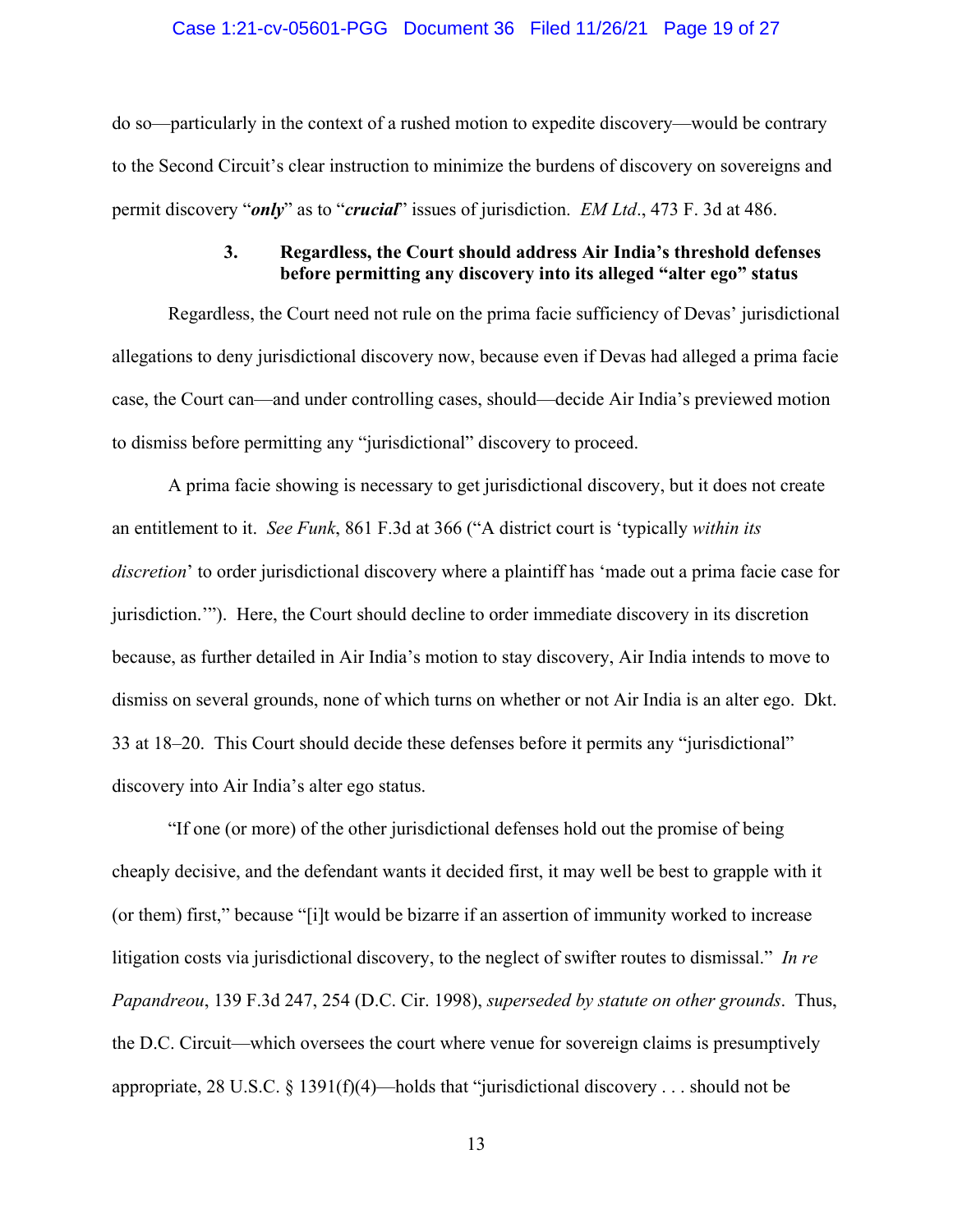#### Case 1:21-cv-05601-PGG Document 36 Filed 11/26/21 Page 19 of 27

do so—particularly in the context of a rushed motion to expedite discovery—would be contrary to the Second Circuit's clear instruction to minimize the burdens of discovery on sovereigns and permit discovery "*only*" as to "*crucial*" issues of jurisdiction. *EM Ltd*., 473 F. 3d at 486.

## **3. Regardless, the Court should address Air India's threshold defenses before permitting any discovery into its alleged "alter ego" status**

Regardless, the Court need not rule on the prima facie sufficiency of Devas' jurisdictional allegations to deny jurisdictional discovery now, because even if Devas had alleged a prima facie case, the Court can—and under controlling cases, should—decide Air India's previewed motion to dismiss before permitting any "jurisdictional" discovery to proceed.

A prima facie showing is necessary to get jurisdictional discovery, but it does not create an entitlement to it. *See Funk*, 861 F.3d at 366 ("A district court is 'typically *within its discretion*' to order jurisdictional discovery where a plaintiff has 'made out a prima facie case for jurisdiction.'"). Here, the Court should decline to order immediate discovery in its discretion because, as further detailed in Air India's motion to stay discovery, Air India intends to move to dismiss on several grounds, none of which turns on whether or not Air India is an alter ego. Dkt. 33 at 18–20. This Court should decide these defenses before it permits any "jurisdictional" discovery into Air India's alter ego status.

"If one (or more) of the other jurisdictional defenses hold out the promise of being cheaply decisive, and the defendant wants it decided first, it may well be best to grapple with it (or them) first," because "[i]t would be bizarre if an assertion of immunity worked to increase litigation costs via jurisdictional discovery, to the neglect of swifter routes to dismissal." *In re Papandreou*, 139 F.3d 247, 254 (D.C. Cir. 1998), *superseded by statute on other grounds*. Thus, the D.C. Circuit—which oversees the court where venue for sovereign claims is presumptively appropriate, 28 U.S.C. § 1391(f)(4)—holds that "jurisdictional discovery . . . should not be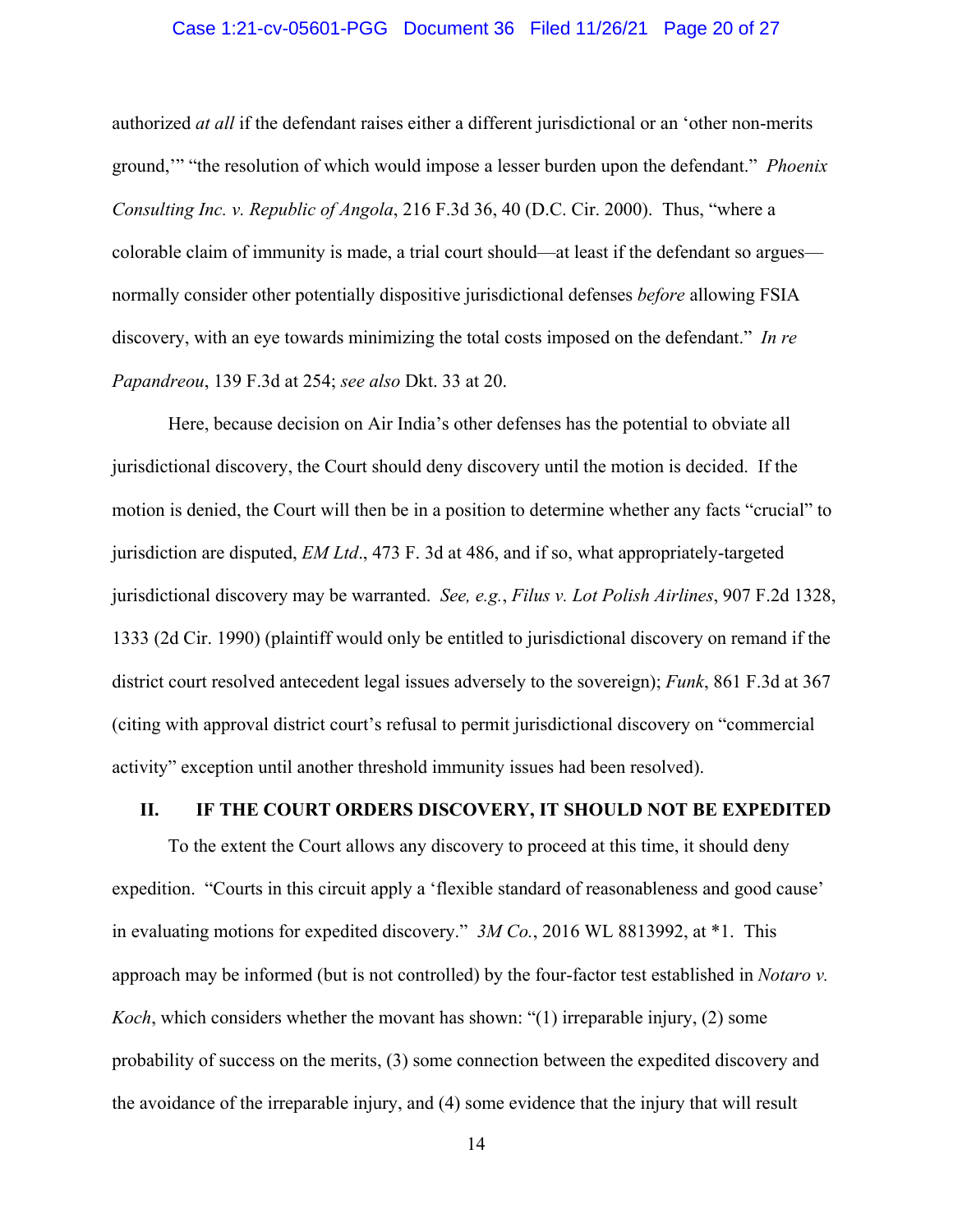#### Case 1:21-cv-05601-PGG Document 36 Filed 11/26/21 Page 20 of 27

authorized *at all* if the defendant raises either a different jurisdictional or an 'other non-merits ground,'" "the resolution of which would impose a lesser burden upon the defendant." *Phoenix Consulting Inc. v. Republic of Angola*, 216 F.3d 36, 40 (D.C. Cir. 2000). Thus, "where a colorable claim of immunity is made, a trial court should—at least if the defendant so argues normally consider other potentially dispositive jurisdictional defenses *before* allowing FSIA discovery, with an eye towards minimizing the total costs imposed on the defendant." *In re Papandreou*, 139 F.3d at 254; *see also* Dkt. 33 at 20.

Here, because decision on Air India's other defenses has the potential to obviate all jurisdictional discovery, the Court should deny discovery until the motion is decided. If the motion is denied, the Court will then be in a position to determine whether any facts "crucial" to jurisdiction are disputed, *EM Ltd*., 473 F. 3d at 486, and if so, what appropriately-targeted jurisdictional discovery may be warranted. *See, e.g.*, *Filus v. Lot Polish Airlines*, 907 F.2d 1328, 1333 (2d Cir. 1990) (plaintiff would only be entitled to jurisdictional discovery on remand if the district court resolved antecedent legal issues adversely to the sovereign); *Funk*, 861 F.3d at 367 (citing with approval district court's refusal to permit jurisdictional discovery on "commercial activity" exception until another threshold immunity issues had been resolved).

#### **II. IF THE COURT ORDERS DISCOVERY, IT SHOULD NOT BE EXPEDITED**

To the extent the Court allows any discovery to proceed at this time, it should deny expedition. "Courts in this circuit apply a 'flexible standard of reasonableness and good cause' in evaluating motions for expedited discovery." *3M Co.*, 2016 WL 8813992, at \*1. This approach may be informed (but is not controlled) by the four-factor test established in *Notaro v. Koch*, which considers whether the movant has shown: "(1) irreparable injury, (2) some probability of success on the merits, (3) some connection between the expedited discovery and the avoidance of the irreparable injury, and (4) some evidence that the injury that will result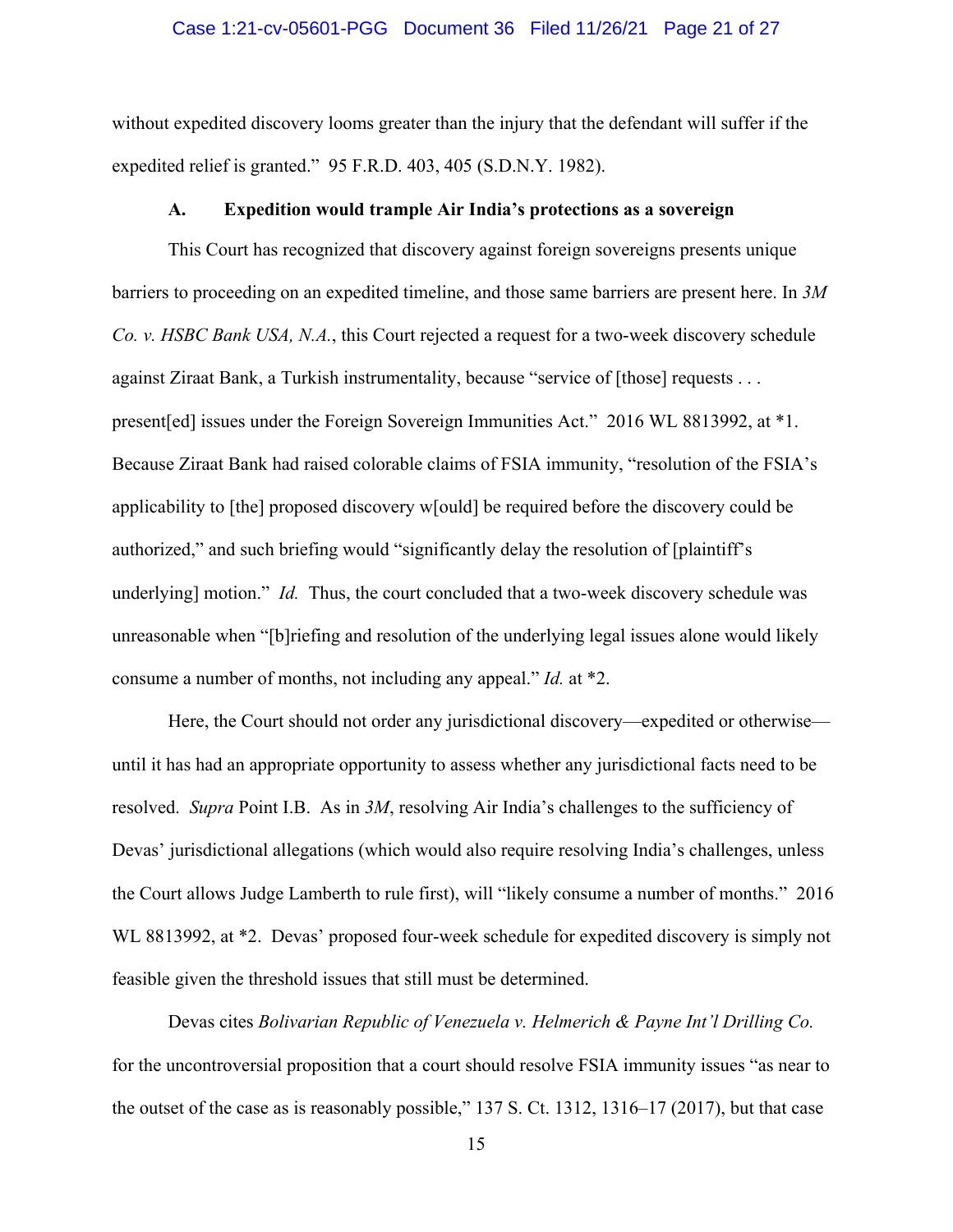#### Case 1:21-cv-05601-PGG Document 36 Filed 11/26/21 Page 21 of 27

without expedited discovery looms greater than the injury that the defendant will suffer if the expedited relief is granted." 95 F.R.D. 403, 405 (S.D.N.Y. 1982).

#### **A. Expedition would trample Air India's protections as a sovereign**

This Court has recognized that discovery against foreign sovereigns presents unique barriers to proceeding on an expedited timeline, and those same barriers are present here. In *3M Co. v. HSBC Bank USA, N.A.*, this Court rejected a request for a two-week discovery schedule against Ziraat Bank, a Turkish instrumentality, because "service of [those] requests . . . present[ed] issues under the Foreign Sovereign Immunities Act." 2016 WL 8813992, at \*1. Because Ziraat Bank had raised colorable claims of FSIA immunity, "resolution of the FSIA's applicability to [the] proposed discovery w[ould] be required before the discovery could be authorized," and such briefing would "significantly delay the resolution of [plaintiff's underlying] motion." *Id.* Thus, the court concluded that a two-week discovery schedule was unreasonable when "[b]riefing and resolution of the underlying legal issues alone would likely consume a number of months, not including any appeal." *Id.* at \*2.

Here, the Court should not order any jurisdictional discovery—expedited or otherwise until it has had an appropriate opportunity to assess whether any jurisdictional facts need to be resolved. *Supra* Point I.B. As in *3M*, resolving Air India's challenges to the sufficiency of Devas' jurisdictional allegations (which would also require resolving India's challenges, unless the Court allows Judge Lamberth to rule first), will "likely consume a number of months." 2016 WL 8813992, at  $*2$ . Devas' proposed four-week schedule for expedited discovery is simply not feasible given the threshold issues that still must be determined.

Devas cites *Bolivarian Republic of Venezuela v. Helmerich & Payne Int'l Drilling Co.* for the uncontroversial proposition that a court should resolve FSIA immunity issues "as near to the outset of the case as is reasonably possible," 137 S. Ct. 1312, 1316–17 (2017), but that case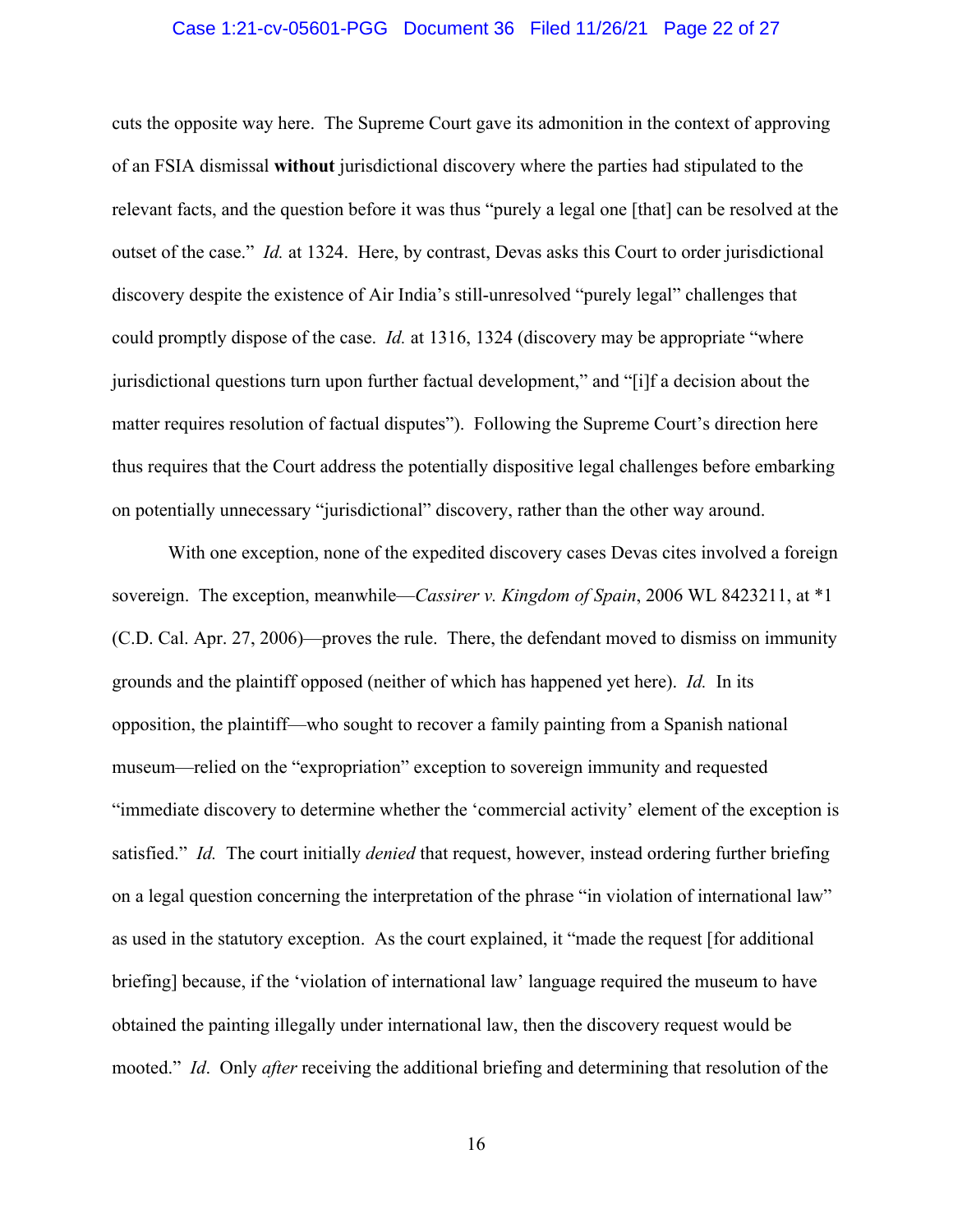#### Case 1:21-cv-05601-PGG Document 36 Filed 11/26/21 Page 22 of 27

cuts the opposite way here. The Supreme Court gave its admonition in the context of approving of an FSIA dismissal **without** jurisdictional discovery where the parties had stipulated to the relevant facts, and the question before it was thus "purely a legal one [that] can be resolved at the outset of the case." *Id.* at 1324. Here, by contrast, Devas asks this Court to order jurisdictional discovery despite the existence of Air India's still-unresolved "purely legal" challenges that could promptly dispose of the case. *Id.* at 1316, 1324 (discovery may be appropriate "where jurisdictional questions turn upon further factual development," and "[i]f a decision about the matter requires resolution of factual disputes"). Following the Supreme Court's direction here thus requires that the Court address the potentially dispositive legal challenges before embarking on potentially unnecessary "jurisdictional" discovery, rather than the other way around.

With one exception, none of the expedited discovery cases Devas cites involved a foreign sovereign. The exception, meanwhile—*Cassirer v. Kingdom of Spain*, 2006 WL 8423211, at \*1 (C.D. Cal. Apr. 27, 2006)—proves the rule. There, the defendant moved to dismiss on immunity grounds and the plaintiff opposed (neither of which has happened yet here). *Id.* In its opposition, the plaintiff—who sought to recover a family painting from a Spanish national museum—relied on the "expropriation" exception to sovereign immunity and requested "immediate discovery to determine whether the 'commercial activity' element of the exception is satisfied." *Id.* The court initially *denied* that request, however, instead ordering further briefing on a legal question concerning the interpretation of the phrase "in violation of international law" as used in the statutory exception. As the court explained, it "made the request [for additional briefing] because, if the 'violation of international law' language required the museum to have obtained the painting illegally under international law, then the discovery request would be mooted." *Id*. Only *after* receiving the additional briefing and determining that resolution of the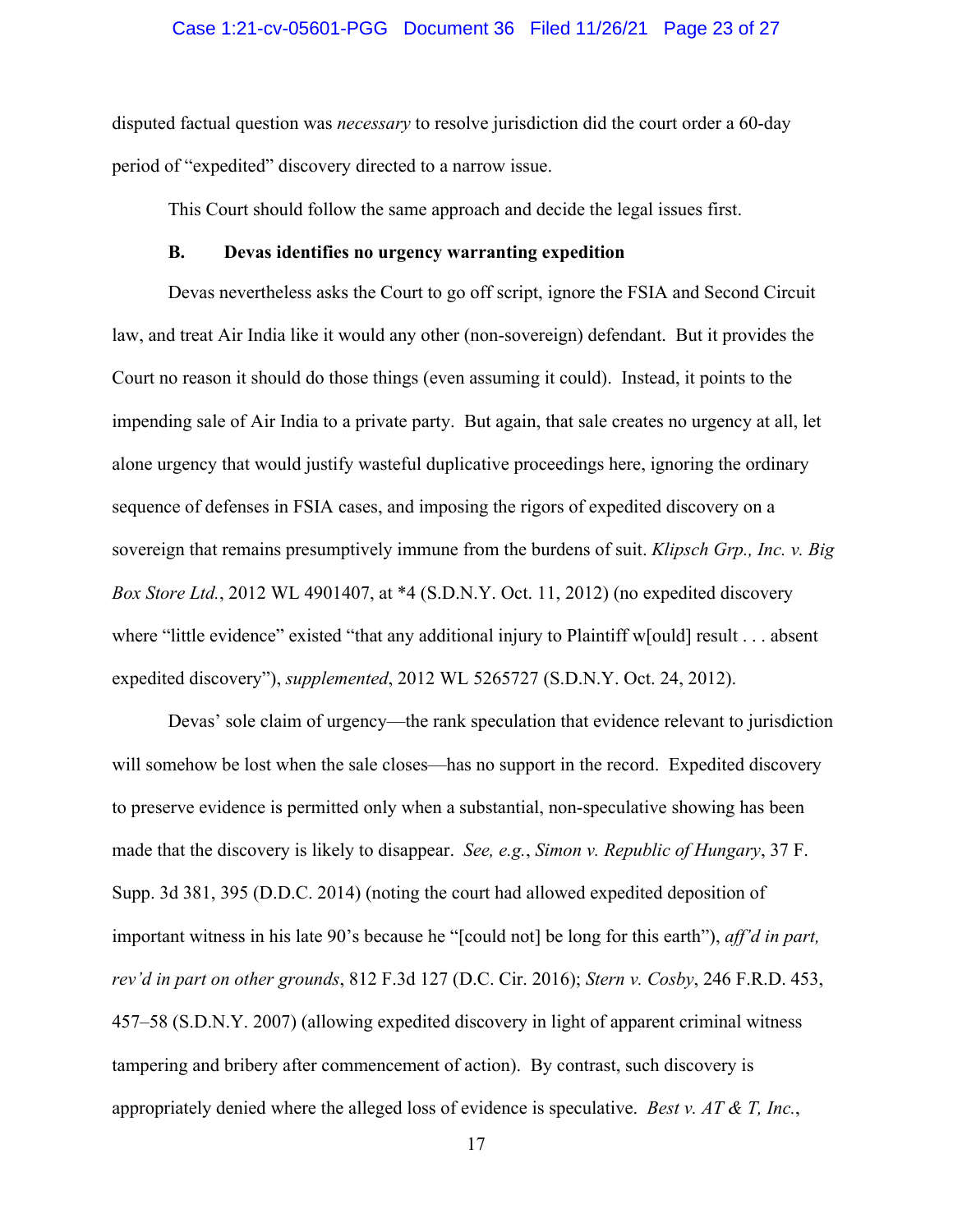#### Case 1:21-cv-05601-PGG Document 36 Filed 11/26/21 Page 23 of 27

disputed factual question was *necessary* to resolve jurisdiction did the court order a 60-day period of "expedited" discovery directed to a narrow issue.

This Court should follow the same approach and decide the legal issues first.

#### **B. Devas identifies no urgency warranting expedition**

Devas nevertheless asks the Court to go off script, ignore the FSIA and Second Circuit law, and treat Air India like it would any other (non-sovereign) defendant. But it provides the Court no reason it should do those things (even assuming it could). Instead, it points to the impending sale of Air India to a private party. But again, that sale creates no urgency at all, let alone urgency that would justify wasteful duplicative proceedings here, ignoring the ordinary sequence of defenses in FSIA cases, and imposing the rigors of expedited discovery on a sovereign that remains presumptively immune from the burdens of suit. *Klipsch Grp., Inc. v. Big Box Store Ltd.*, 2012 WL 4901407, at \*4 (S.D.N.Y. Oct. 11, 2012) (no expedited discovery where "little evidence" existed "that any additional injury to Plaintiff w[ould] result . . . absent expedited discovery"), *supplemented*, 2012 WL 5265727 (S.D.N.Y. Oct. 24, 2012).

Devas' sole claim of urgency—the rank speculation that evidence relevant to jurisdiction will somehow be lost when the sale closes—has no support in the record. Expedited discovery to preserve evidence is permitted only when a substantial, non-speculative showing has been made that the discovery is likely to disappear. *See, e.g.*, *Simon v. Republic of Hungary*, 37 F. Supp. 3d 381, 395 (D.D.C. 2014) (noting the court had allowed expedited deposition of important witness in his late 90's because he "[could not] be long for this earth"), *aff'd in part, rev'd in part on other grounds*, 812 F.3d 127 (D.C. Cir. 2016); *Stern v. Cosby*, 246 F.R.D. 453, 457–58 (S.D.N.Y. 2007) (allowing expedited discovery in light of apparent criminal witness tampering and bribery after commencement of action). By contrast, such discovery is appropriately denied where the alleged loss of evidence is speculative. *Best v. AT & T, Inc.*,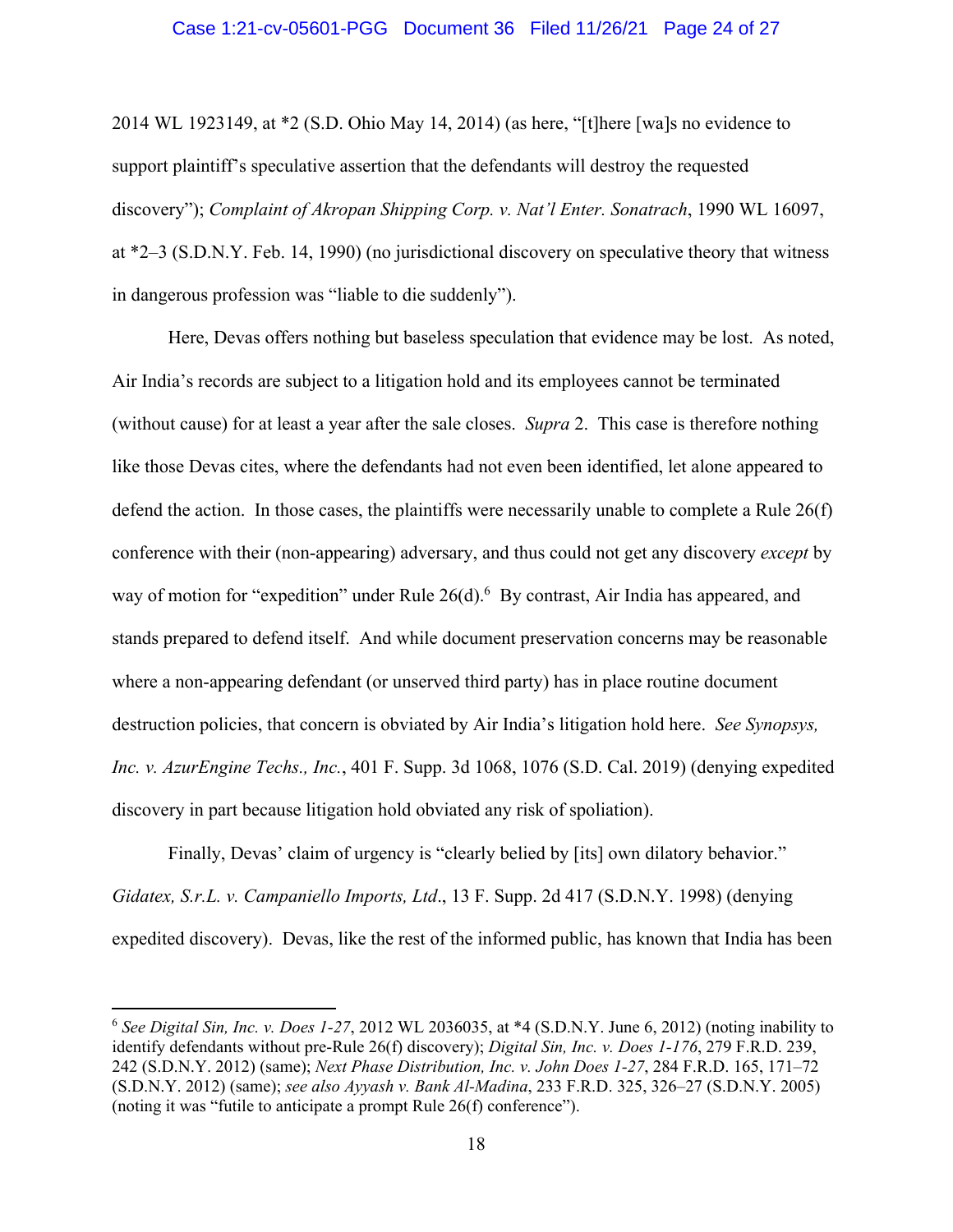#### Case 1:21-cv-05601-PGG Document 36 Filed 11/26/21 Page 24 of 27

2014 WL 1923149, at \*2 (S.D. Ohio May 14, 2014) (as here, "[t]here [wa]s no evidence to support plaintiff's speculative assertion that the defendants will destroy the requested discovery"); *Complaint of Akropan Shipping Corp. v. Nat'l Enter. Sonatrach*, 1990 WL 16097, at \*2–3 (S.D.N.Y. Feb. 14, 1990) (no jurisdictional discovery on speculative theory that witness in dangerous profession was "liable to die suddenly").

Here, Devas offers nothing but baseless speculation that evidence may be lost. As noted, Air India's records are subject to a litigation hold and its employees cannot be terminated (without cause) for at least a year after the sale closes. *Supra* 2. This case is therefore nothing like those Devas cites, where the defendants had not even been identified, let alone appeared to defend the action. In those cases, the plaintiffs were necessarily unable to complete a Rule 26(f) conference with their (non-appearing) adversary, and thus could not get any discovery *except* by way of motion for "expedition" under Rule 26(d).<sup>6</sup> By contrast, Air India has appeared, and stands prepared to defend itself. And while document preservation concerns may be reasonable where a non-appearing defendant (or unserved third party) has in place routine document destruction policies, that concern is obviated by Air India's litigation hold here. *See Synopsys, Inc. v. AzurEngine Techs., Inc.*, 401 F. Supp. 3d 1068, 1076 (S.D. Cal. 2019) (denying expedited discovery in part because litigation hold obviated any risk of spoliation).

Finally, Devas' claim of urgency is "clearly belied by [its] own dilatory behavior." *Gidatex, S.r.L. v. Campaniello Imports, Ltd*., 13 F. Supp. 2d 417 (S.D.N.Y. 1998) (denying expedited discovery). Devas, like the rest of the informed public, has known that India has been

<sup>6</sup> *See Digital Sin, Inc. v. Does 1-27*, 2012 WL 2036035, at \*4 (S.D.N.Y. June 6, 2012) (noting inability to identify defendants without pre-Rule 26(f) discovery); *Digital Sin, Inc. v. Does 1-176*, 279 F.R.D. 239, 242 (S.D.N.Y. 2012) (same); *Next Phase Distribution, Inc. v. John Does 1-27*, 284 F.R.D. 165, 171–72 (S.D.N.Y. 2012) (same); *see also Ayyash v. Bank Al-Madina*, 233 F.R.D. 325, 326–27 (S.D.N.Y. 2005) (noting it was "futile to anticipate a prompt Rule 26(f) conference").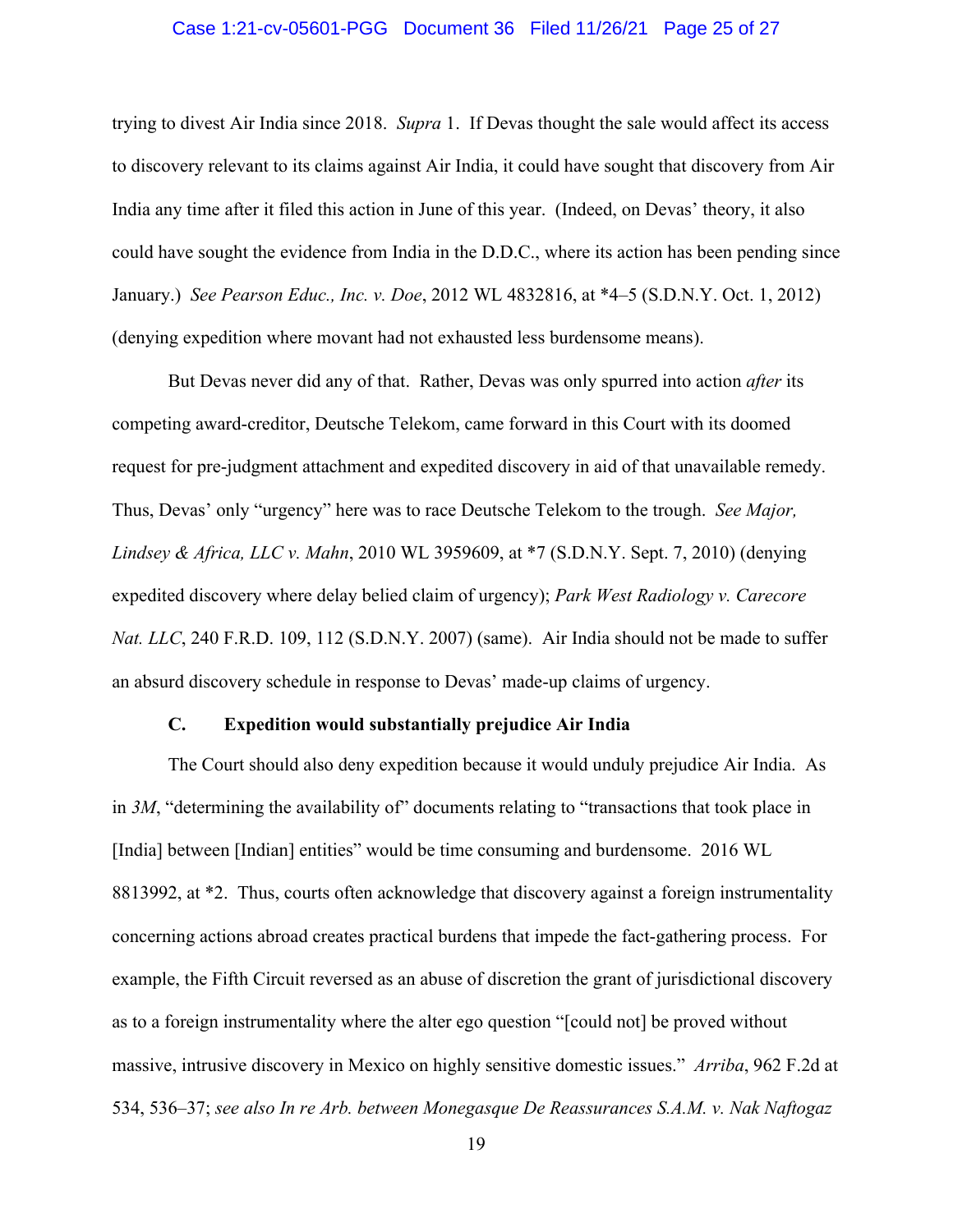#### Case 1:21-cv-05601-PGG Document 36 Filed 11/26/21 Page 25 of 27

trying to divest Air India since 2018. *Supra* 1. If Devas thought the sale would affect its access to discovery relevant to its claims against Air India, it could have sought that discovery from Air India any time after it filed this action in June of this year. (Indeed, on Devas' theory, it also could have sought the evidence from India in the D.D.C., where its action has been pending since January.) *See Pearson Educ., Inc. v. Doe*, 2012 WL 4832816, at \*4–5 (S.D.N.Y. Oct. 1, 2012) (denying expedition where movant had not exhausted less burdensome means).

But Devas never did any of that. Rather, Devas was only spurred into action *after* its competing award-creditor, Deutsche Telekom, came forward in this Court with its doomed request for pre-judgment attachment and expedited discovery in aid of that unavailable remedy. Thus, Devas' only "urgency" here was to race Deutsche Telekom to the trough. *See Major, Lindsey & Africa, LLC v. Mahn*, 2010 WL 3959609, at \*7 (S.D.N.Y. Sept. 7, 2010) (denying expedited discovery where delay belied claim of urgency); *Park West Radiology v. Carecore Nat. LLC*, 240 F.R.D. 109, 112 (S.D.N.Y. 2007) (same). Air India should not be made to suffer an absurd discovery schedule in response to Devas' made-up claims of urgency.

#### **C. Expedition would substantially prejudice Air India**

The Court should also deny expedition because it would unduly prejudice Air India. As in 3*M*, "determining the availability of" documents relating to "transactions that took place in [India] between [Indian] entities" would be time consuming and burdensome. 2016 WL 8813992, at \*2. Thus, courts often acknowledge that discovery against a foreign instrumentality concerning actions abroad creates practical burdens that impede the fact-gathering process. For example, the Fifth Circuit reversed as an abuse of discretion the grant of jurisdictional discovery as to a foreign instrumentality where the alter ego question "[could not] be proved without massive, intrusive discovery in Mexico on highly sensitive domestic issues." *Arriba*, 962 F.2d at 534, 536–37; *see also In re Arb. between Monegasque De Reassurances S.A.M. v. Nak Naftogaz*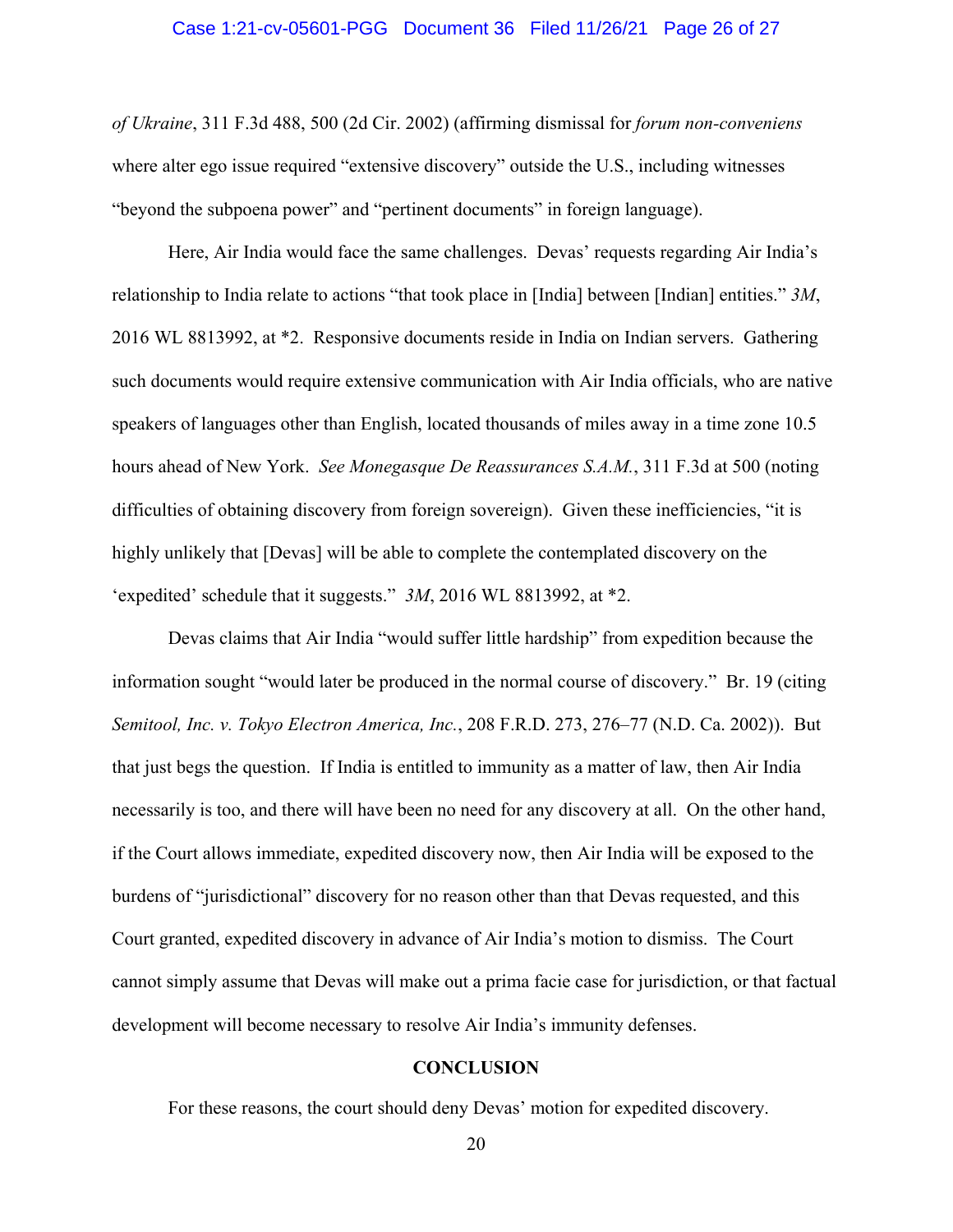#### Case 1:21-cv-05601-PGG Document 36 Filed 11/26/21 Page 26 of 27

*of Ukraine*, 311 F.3d 488, 500 (2d Cir. 2002) (affirming dismissal for *forum non-conveniens* where alter ego issue required "extensive discovery" outside the U.S., including witnesses "beyond the subpoena power" and "pertinent documents" in foreign language).

Here, Air India would face the same challenges. Devas' requests regarding Air India's relationship to India relate to actions "that took place in [India] between [Indian] entities." *3M*, 2016 WL 8813992, at \*2. Responsive documents reside in India on Indian servers. Gathering such documents would require extensive communication with Air India officials, who are native speakers of languages other than English, located thousands of miles away in a time zone 10.5 hours ahead of New York. *See Monegasque De Reassurances S.A.M.*, 311 F.3d at 500 (noting difficulties of obtaining discovery from foreign sovereign). Given these inefficiencies, "it is highly unlikely that [Devas] will be able to complete the contemplated discovery on the 'expedited' schedule that it suggests." *3M*, 2016 WL 8813992, at \*2.

Devas claims that Air India "would suffer little hardship" from expedition because the information sought "would later be produced in the normal course of discovery." Br. 19 (citing *Semitool, Inc. v. Tokyo Electron America, Inc.*, 208 F.R.D. 273, 276–77 (N.D. Ca. 2002)). But that just begs the question. If India is entitled to immunity as a matter of law, then Air India necessarily is too, and there will have been no need for any discovery at all. On the other hand, if the Court allows immediate, expedited discovery now, then Air India will be exposed to the burdens of "jurisdictional" discovery for no reason other than that Devas requested, and this Court granted, expedited discovery in advance of Air India's motion to dismiss. The Court cannot simply assume that Devas will make out a prima facie case for jurisdiction, or that factual development will become necessary to resolve Air India's immunity defenses.

#### **CONCLUSION**

For these reasons, the court should deny Devas' motion for expedited discovery.